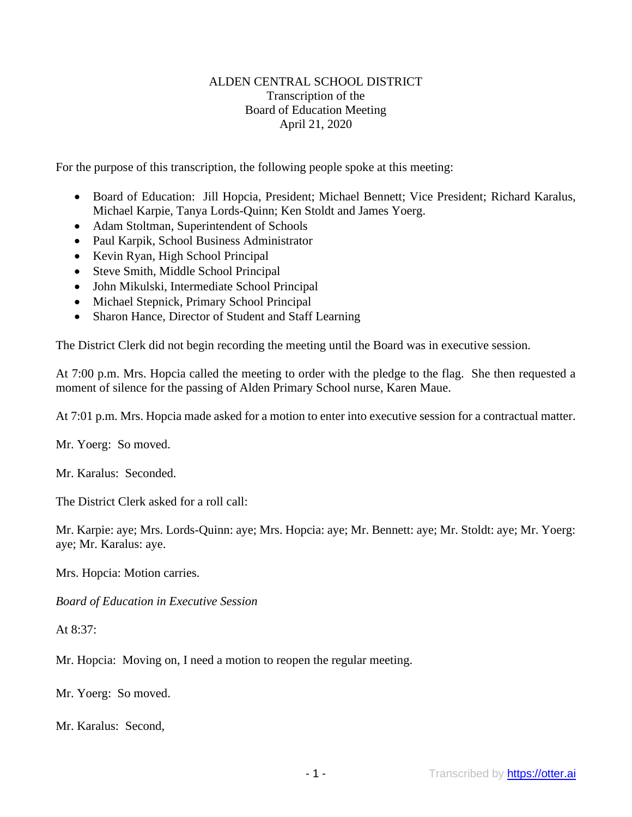#### ALDEN CENTRAL SCHOOL DISTRICT Transcription of the Board of Education Meeting April 21, 2020

For the purpose of this transcription, the following people spoke at this meeting:

- Board of Education: Jill Hopcia, President; Michael Bennett; Vice President; Richard Karalus, Michael Karpie, Tanya Lords-Quinn; Ken Stoldt and James Yoerg.
- Adam Stoltman, Superintendent of Schools
- Paul Karpik, School Business Administrator
- Kevin Ryan, High School Principal
- Steve Smith, Middle School Principal
- John Mikulski, Intermediate School Principal
- Michael Stepnick, Primary School Principal
- Sharon Hance, Director of Student and Staff Learning

The District Clerk did not begin recording the meeting until the Board was in executive session.

At 7:00 p.m. Mrs. Hopcia called the meeting to order with the pledge to the flag. She then requested a moment of silence for the passing of Alden Primary School nurse, Karen Maue.

At 7:01 p.m. Mrs. Hopcia made asked for a motion to enter into executive session for a contractual matter.

Mr. Yoerg: So moved.

Mr. Karalus: Seconded.

The District Clerk asked for a roll call:

Mr. Karpie: aye; Mrs. Lords-Quinn: aye; Mrs. Hopcia: aye; Mr. Bennett: aye; Mr. Stoldt: aye; Mr. Yoerg: aye; Mr. Karalus: aye.

Mrs. Hopcia: Motion carries.

*Board of Education in Executive Session*

At  $8:37$ :

Mr. Hopcia: Moving on, I need a motion to reopen the regular meeting.

Mr. Yoerg: So moved.

Mr. Karalus: Second,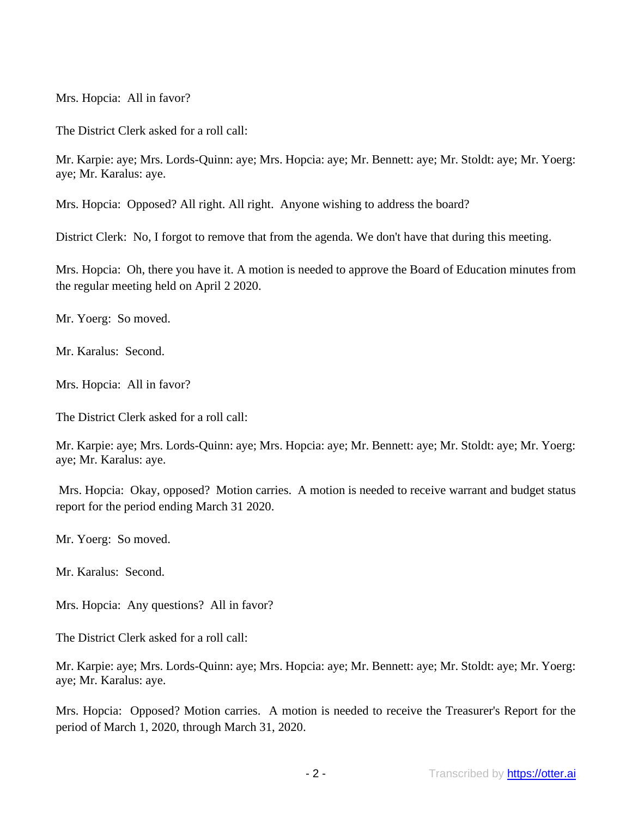Mrs. Hopcia: All in favor?

The District Clerk asked for a roll call:

Mr. Karpie: aye; Mrs. Lords-Quinn: aye; Mrs. Hopcia: aye; Mr. Bennett: aye; Mr. Stoldt: aye; Mr. Yoerg: aye; Mr. Karalus: aye.

Mrs. Hopcia: Opposed? All right. All right. Anyone wishing to address the board?

District Clerk: No, I forgot to remove that from the agenda. We don't have that during this meeting.

Mrs. Hopcia: Oh, there you have it. A motion is needed to approve the Board of Education minutes from the regular meeting held on April 2 2020.

Mr. Yoerg: So moved.

Mr. Karalus: Second.

Mrs. Hopcia: All in favor?

The District Clerk asked for a roll call:

Mr. Karpie: aye; Mrs. Lords-Quinn: aye; Mrs. Hopcia: aye; Mr. Bennett: aye; Mr. Stoldt: aye; Mr. Yoerg: aye; Mr. Karalus: aye.

Mrs. Hopcia: Okay, opposed? Motion carries. A motion is needed to receive warrant and budget status report for the period ending March 31 2020.

Mr. Yoerg: So moved.

Mr. Karalus: Second.

Mrs. Hopcia: Any questions? All in favor?

The District Clerk asked for a roll call:

Mr. Karpie: aye; Mrs. Lords-Quinn: aye; Mrs. Hopcia: aye; Mr. Bennett: aye; Mr. Stoldt: aye; Mr. Yoerg: aye; Mr. Karalus: aye.

Mrs. Hopcia: Opposed? Motion carries. A motion is needed to receive the Treasurer's Report for the period of March 1, 2020, through March 31, 2020.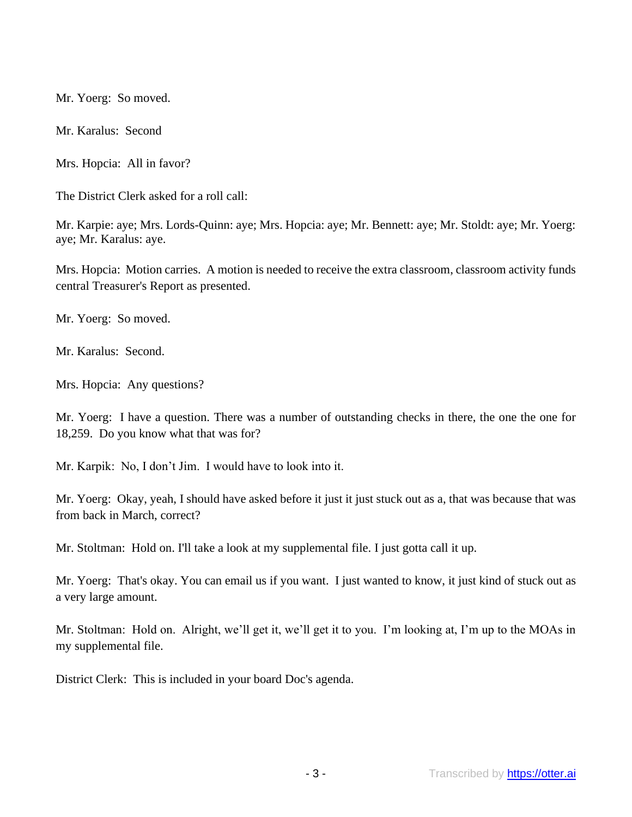Mr. Yoerg: So moved.

Mr. Karalus: Second

Mrs. Hopcia: All in favor?

The District Clerk asked for a roll call:

Mr. Karpie: aye; Mrs. Lords-Quinn: aye; Mrs. Hopcia: aye; Mr. Bennett: aye; Mr. Stoldt: aye; Mr. Yoerg: aye; Mr. Karalus: aye.

Mrs. Hopcia: Motion carries. A motion is needed to receive the extra classroom, classroom activity funds central Treasurer's Report as presented.

Mr. Yoerg: So moved.

Mr. Karalus: Second.

Mrs. Hopcia: Any questions?

Mr. Yoerg: I have a question. There was a number of outstanding checks in there, the one the one for 18,259. Do you know what that was for?

Mr. Karpik: No, I don't Jim. I would have to look into it.

Mr. Yoerg: Okay, yeah, I should have asked before it just it just stuck out as a, that was because that was from back in March, correct?

Mr. Stoltman: Hold on. I'll take a look at my supplemental file. I just gotta call it up.

Mr. Yoerg: That's okay. You can email us if you want. I just wanted to know, it just kind of stuck out as a very large amount.

Mr. Stoltman: Hold on. Alright, we'll get it, we'll get it to you. I'm looking at, I'm up to the MOAs in my supplemental file.

District Clerk: This is included in your board Doc's agenda.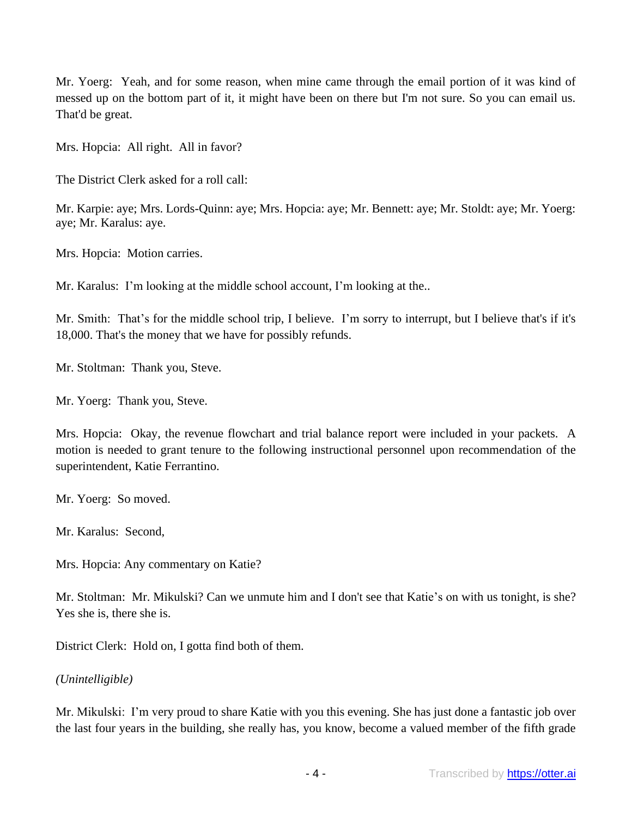Mr. Yoerg: Yeah, and for some reason, when mine came through the email portion of it was kind of messed up on the bottom part of it, it might have been on there but I'm not sure. So you can email us. That'd be great.

Mrs. Hopcia: All right. All in favor?

The District Clerk asked for a roll call:

Mr. Karpie: aye; Mrs. Lords-Quinn: aye; Mrs. Hopcia: aye; Mr. Bennett: aye; Mr. Stoldt: aye; Mr. Yoerg: aye; Mr. Karalus: aye.

Mrs. Hopcia: Motion carries.

Mr. Karalus: I'm looking at the middle school account, I'm looking at the..

Mr. Smith: That's for the middle school trip, I believe. I'm sorry to interrupt, but I believe that's if it's 18,000. That's the money that we have for possibly refunds.

Mr. Stoltman: Thank you, Steve.

Mr. Yoerg: Thank you, Steve.

Mrs. Hopcia: Okay, the revenue flowchart and trial balance report were included in your packets. A motion is needed to grant tenure to the following instructional personnel upon recommendation of the superintendent, Katie Ferrantino.

Mr. Yoerg: So moved.

Mr. Karalus: Second,

Mrs. Hopcia: Any commentary on Katie?

Mr. Stoltman: Mr. Mikulski? Can we unmute him and I don't see that Katie's on with us tonight, is she? Yes she is, there she is.

District Clerk: Hold on, I gotta find both of them.

*(Unintelligible)*

Mr. Mikulski: I'm very proud to share Katie with you this evening. She has just done a fantastic job over the last four years in the building, she really has, you know, become a valued member of the fifth grade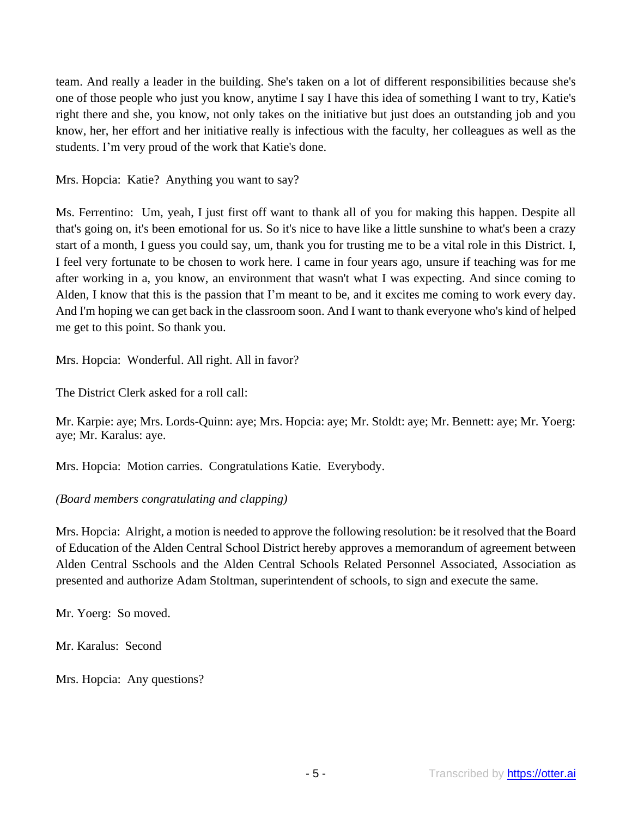team. And really a leader in the building. She's taken on a lot of different responsibilities because she's one of those people who just you know, anytime I say I have this idea of something I want to try, Katie's right there and she, you know, not only takes on the initiative but just does an outstanding job and you know, her, her effort and her initiative really is infectious with the faculty, her colleagues as well as the students. I'm very proud of the work that Katie's done.

Mrs. Hopcia: Katie? Anything you want to say?

Ms. Ferrentino: Um, yeah, I just first off want to thank all of you for making this happen. Despite all that's going on, it's been emotional for us. So it's nice to have like a little sunshine to what's been a crazy start of a month, I guess you could say, um, thank you for trusting me to be a vital role in this District. I, I feel very fortunate to be chosen to work here. I came in four years ago, unsure if teaching was for me after working in a, you know, an environment that wasn't what I was expecting. And since coming to Alden, I know that this is the passion that I'm meant to be, and it excites me coming to work every day. And I'm hoping we can get back in the classroom soon. And I want to thank everyone who's kind of helped me get to this point. So thank you.

Mrs. Hopcia: Wonderful. All right. All in favor?

The District Clerk asked for a roll call:

Mr. Karpie: aye; Mrs. Lords-Quinn: aye; Mrs. Hopcia: aye; Mr. Stoldt: aye; Mr. Bennett: aye; Mr. Yoerg: aye; Mr. Karalus: aye.

Mrs. Hopcia: Motion carries. Congratulations Katie. Everybody.

*(Board members congratulating and clapping)*

Mrs. Hopcia: Alright, a motion is needed to approve the following resolution: be it resolved that the Board of Education of the Alden Central School District hereby approves a memorandum of agreement between Alden Central Sschools and the Alden Central Schools Related Personnel Associated, Association as presented and authorize Adam Stoltman, superintendent of schools, to sign and execute the same.

Mr. Yoerg: So moved.

Mr. Karalus: Second

Mrs. Hopcia: Any questions?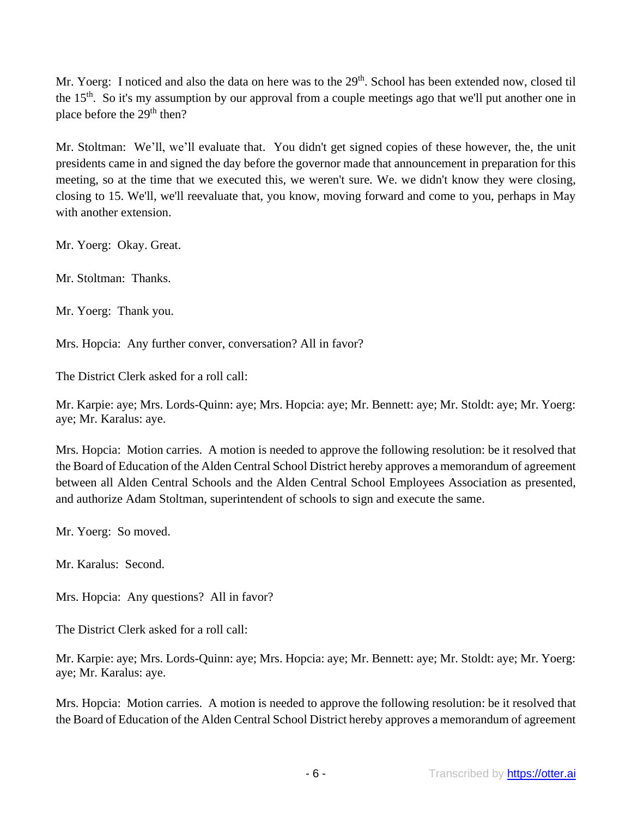Mr. Yoerg: I noticed and also the data on here was to the 29<sup>th</sup>. School has been extended now, closed til the 15<sup>th</sup>. So it's my assumption by our approval from a couple meetings ago that we'll put another one in place before the 29<sup>th</sup> then?

Mr. Stoltman: We'll, we'll evaluate that. You didn't get signed copies of these however, the, the unit presidents came in and signed the day before the governor made that announcement in preparation for this meeting, so at the time that we executed this, we weren't sure. We. we didn't know they were closing, closing to 15. We'll, we'll reevaluate that, you know, moving forward and come to you, perhaps in May with another extension.

Mr. Yoerg: Okay. Great.

Mr. Stoltman: Thanks.

Mr. Yoerg: Thank you.

Mrs. Hopcia: Any further conver, conversation? All in favor?

The District Clerk asked for a roll call:

Mr. Karpie: aye; Mrs. Lords-Quinn: aye; Mrs. Hopcia: aye; Mr. Bennett: aye; Mr. Stoldt: aye; Mr. Yoerg: aye; Mr. Karalus: aye.

Mrs. Hopcia: Motion carries. A motion is needed to approve the following resolution: be it resolved that the Board of Education of the Alden Central School District hereby approves a memorandum of agreement between all Alden Central Schools and the Alden Central School Employees Association as presented, and authorize Adam Stoltman, superintendent of schools to sign and execute the same.

Mr. Yoerg: So moved.

Mr. Karalus: Second.

Mrs. Hopcia: Any questions? All in favor?

The District Clerk asked for a roll call:

Mr. Karpie: aye; Mrs. Lords-Quinn: aye; Mrs. Hopcia: aye; Mr. Bennett: aye; Mr. Stoldt: aye; Mr. Yoerg: aye; Mr. Karalus: aye.

Mrs. Hopcia: Motion carries. A motion is needed to approve the following resolution: be it resolved that the Board of Education of the Alden Central School District hereby approves a memorandum of agreement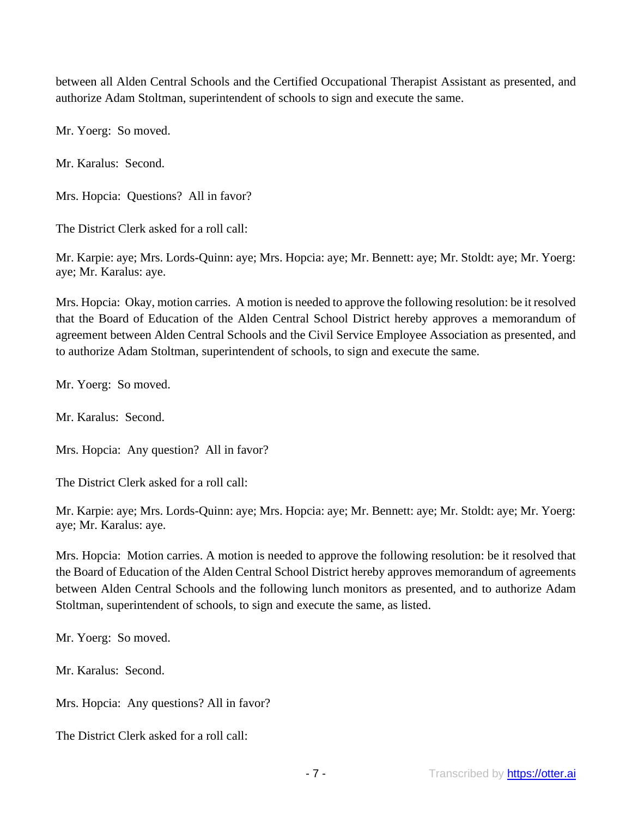between all Alden Central Schools and the Certified Occupational Therapist Assistant as presented, and authorize Adam Stoltman, superintendent of schools to sign and execute the same.

Mr. Yoerg: So moved.

Mr. Karalus: Second.

Mrs. Hopcia: Questions? All in favor?

The District Clerk asked for a roll call:

Mr. Karpie: aye; Mrs. Lords-Quinn: aye; Mrs. Hopcia: aye; Mr. Bennett: aye; Mr. Stoldt: aye; Mr. Yoerg: aye; Mr. Karalus: aye.

Mrs. Hopcia: Okay, motion carries. A motion is needed to approve the following resolution: be it resolved that the Board of Education of the Alden Central School District hereby approves a memorandum of agreement between Alden Central Schools and the Civil Service Employee Association as presented, and to authorize Adam Stoltman, superintendent of schools, to sign and execute the same.

Mr. Yoerg: So moved.

Mr. Karalus: Second.

Mrs. Hopcia: Any question? All in favor?

The District Clerk asked for a roll call:

Mr. Karpie: aye; Mrs. Lords-Quinn: aye; Mrs. Hopcia: aye; Mr. Bennett: aye; Mr. Stoldt: aye; Mr. Yoerg: aye; Mr. Karalus: aye.

Mrs. Hopcia: Motion carries. A motion is needed to approve the following resolution: be it resolved that the Board of Education of the Alden Central School District hereby approves memorandum of agreements between Alden Central Schools and the following lunch monitors as presented, and to authorize Adam Stoltman, superintendent of schools, to sign and execute the same, as listed.

Mr. Yoerg: So moved.

Mr. Karalus: Second.

Mrs. Hopcia: Any questions? All in favor?

The District Clerk asked for a roll call: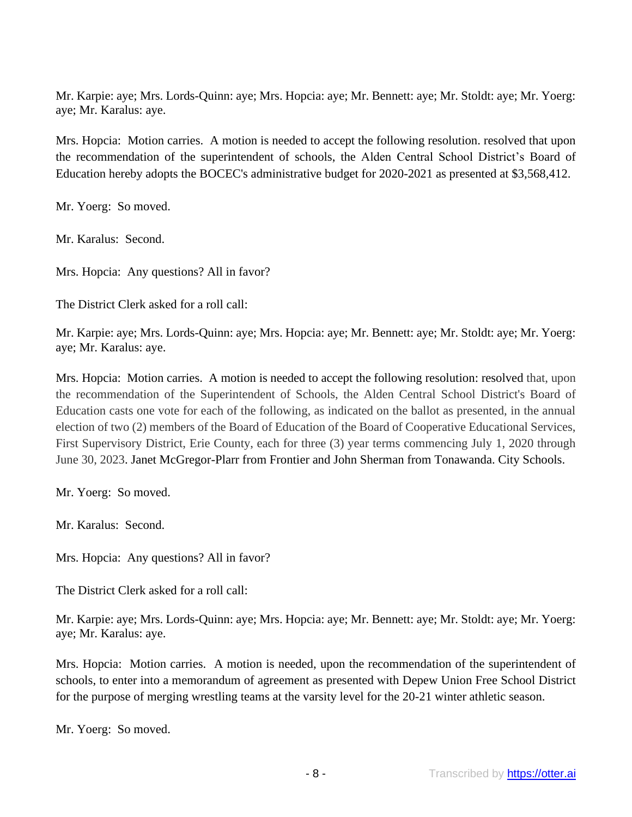Mr. Karpie: aye; Mrs. Lords-Quinn: aye; Mrs. Hopcia: aye; Mr. Bennett: aye; Mr. Stoldt: aye; Mr. Yoerg: aye; Mr. Karalus: aye.

Mrs. Hopcia: Motion carries. A motion is needed to accept the following resolution. resolved that upon the recommendation of the superintendent of schools, the Alden Central School District's Board of Education hereby adopts the BOCEC's administrative budget for 2020-2021 as presented at \$3,568,412.

Mr. Yoerg: So moved.

Mr. Karalus: Second.

Mrs. Hopcia: Any questions? All in favor?

The District Clerk asked for a roll call:

Mr. Karpie: aye; Mrs. Lords-Quinn: aye; Mrs. Hopcia: aye; Mr. Bennett: aye; Mr. Stoldt: aye; Mr. Yoerg: aye; Mr. Karalus: aye.

Mrs. Hopcia: Motion carries. A motion is needed to accept the following resolution: resolved that, upon the recommendation of the Superintendent of Schools, the Alden Central School District's Board of Education casts one vote for each of the following, as indicated on the ballot as presented, in the annual election of two (2) members of the Board of Education of the Board of Cooperative Educational Services, First Supervisory District, Erie County, each for three (3) year terms commencing July 1, 2020 through June 30, 2023. Janet McGregor-Plarr from Frontier and John Sherman from Tonawanda. City Schools.

Mr. Yoerg: So moved.

Mr. Karalus: Second.

Mrs. Hopcia: Any questions? All in favor?

The District Clerk asked for a roll call:

Mr. Karpie: aye; Mrs. Lords-Quinn: aye; Mrs. Hopcia: aye; Mr. Bennett: aye; Mr. Stoldt: aye; Mr. Yoerg: aye; Mr. Karalus: aye.

Mrs. Hopcia: Motion carries. A motion is needed, upon the recommendation of the superintendent of schools, to enter into a memorandum of agreement as presented with Depew Union Free School District for the purpose of merging wrestling teams at the varsity level for the 20-21 winter athletic season.

Mr. Yoerg: So moved.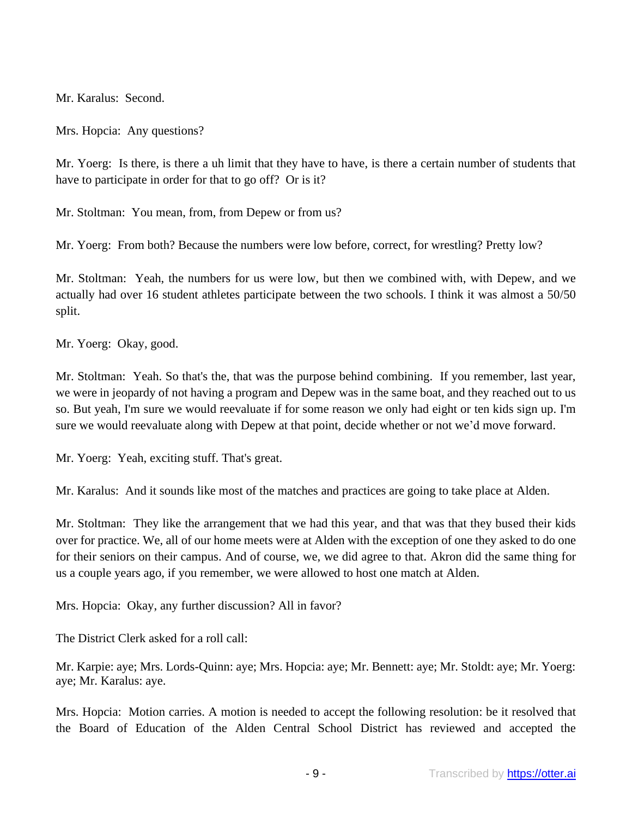Mr. Karalus: Second.

Mrs. Hopcia: Any questions?

Mr. Yoerg: Is there, is there a uh limit that they have to have, is there a certain number of students that have to participate in order for that to go off? Or is it?

Mr. Stoltman: You mean, from, from Depew or from us?

Mr. Yoerg: From both? Because the numbers were low before, correct, for wrestling? Pretty low?

Mr. Stoltman: Yeah, the numbers for us were low, but then we combined with, with Depew, and we actually had over 16 student athletes participate between the two schools. I think it was almost a 50/50 split.

Mr. Yoerg: Okay, good.

Mr. Stoltman: Yeah. So that's the, that was the purpose behind combining. If you remember, last year, we were in jeopardy of not having a program and Depew was in the same boat, and they reached out to us so. But yeah, I'm sure we would reevaluate if for some reason we only had eight or ten kids sign up. I'm sure we would reevaluate along with Depew at that point, decide whether or not we'd move forward.

Mr. Yoerg: Yeah, exciting stuff. That's great.

Mr. Karalus: And it sounds like most of the matches and practices are going to take place at Alden.

Mr. Stoltman: They like the arrangement that we had this year, and that was that they bused their kids over for practice. We, all of our home meets were at Alden with the exception of one they asked to do one for their seniors on their campus. And of course, we, we did agree to that. Akron did the same thing for us a couple years ago, if you remember, we were allowed to host one match at Alden.

Mrs. Hopcia: Okay, any further discussion? All in favor?

The District Clerk asked for a roll call:

Mr. Karpie: aye; Mrs. Lords-Quinn: aye; Mrs. Hopcia: aye; Mr. Bennett: aye; Mr. Stoldt: aye; Mr. Yoerg: aye; Mr. Karalus: aye.

Mrs. Hopcia: Motion carries. A motion is needed to accept the following resolution: be it resolved that the Board of Education of the Alden Central School District has reviewed and accepted the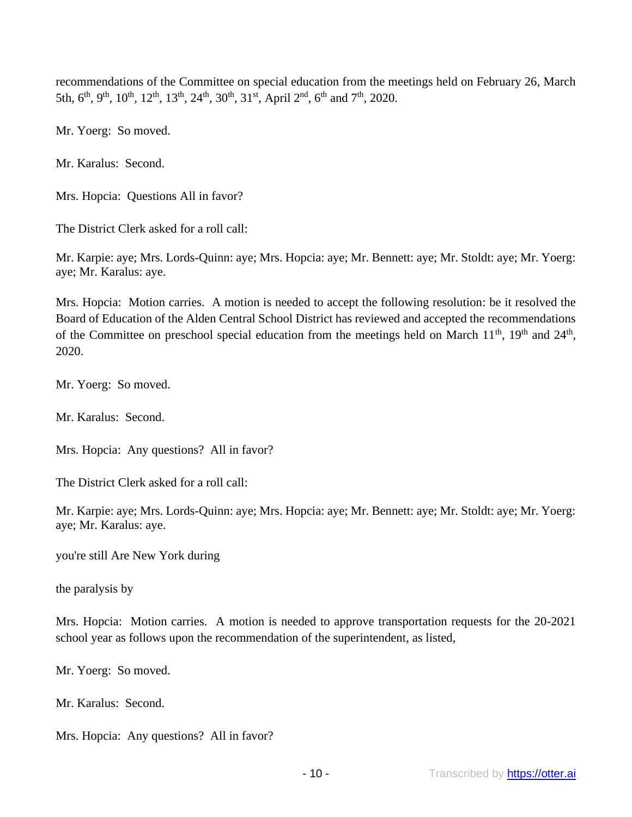recommendations of the Committee on special education from the meetings held on February 26, March 5th, 6<sup>th</sup>, 9<sup>th</sup>, 10<sup>th</sup>, 12<sup>th</sup>, 13<sup>th</sup>, 24<sup>th</sup>, 30<sup>th</sup>, 31<sup>st</sup>, April 2<sup>nd</sup>, 6<sup>th</sup> and 7<sup>th</sup>, 2020.

Mr. Yoerg: So moved.

Mr. Karalus: Second.

Mrs. Hopcia: Questions All in favor?

The District Clerk asked for a roll call:

Mr. Karpie: aye; Mrs. Lords-Quinn: aye; Mrs. Hopcia: aye; Mr. Bennett: aye; Mr. Stoldt: aye; Mr. Yoerg: aye; Mr. Karalus: aye.

Mrs. Hopcia: Motion carries. A motion is needed to accept the following resolution: be it resolved the Board of Education of the Alden Central School District has reviewed and accepted the recommendations of the Committee on preschool special education from the meetings held on March  $11<sup>th</sup>$ ,  $19<sup>th</sup>$  and  $24<sup>th</sup>$ , 2020.

Mr. Yoerg: So moved.

Mr. Karalus: Second.

Mrs. Hopcia: Any questions? All in favor?

The District Clerk asked for a roll call:

Mr. Karpie: aye; Mrs. Lords-Quinn: aye; Mrs. Hopcia: aye; Mr. Bennett: aye; Mr. Stoldt: aye; Mr. Yoerg: aye; Mr. Karalus: aye.

you're still Are New York during

the paralysis by

Mrs. Hopcia: Motion carries. A motion is needed to approve transportation requests for the 20-2021 school year as follows upon the recommendation of the superintendent, as listed,

Mr. Yoerg: So moved.

Mr. Karalus: Second.

Mrs. Hopcia: Any questions? All in favor?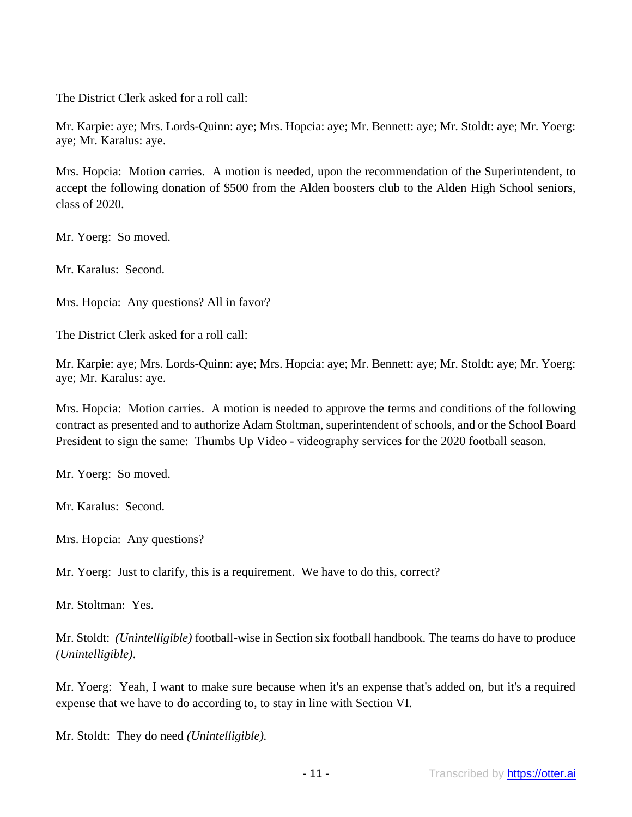The District Clerk asked for a roll call:

Mr. Karpie: aye; Mrs. Lords-Quinn: aye; Mrs. Hopcia: aye; Mr. Bennett: aye; Mr. Stoldt: aye; Mr. Yoerg: aye; Mr. Karalus: aye.

Mrs. Hopcia: Motion carries. A motion is needed, upon the recommendation of the Superintendent, to accept the following donation of \$500 from the Alden boosters club to the Alden High School seniors, class of 2020.

Mr. Yoerg: So moved.

Mr. Karalus: Second.

Mrs. Hopcia: Any questions? All in favor?

The District Clerk asked for a roll call:

Mr. Karpie: aye; Mrs. Lords-Quinn: aye; Mrs. Hopcia: aye; Mr. Bennett: aye; Mr. Stoldt: aye; Mr. Yoerg: aye; Mr. Karalus: aye.

Mrs. Hopcia: Motion carries. A motion is needed to approve the terms and conditions of the following contract as presented and to authorize Adam Stoltman, superintendent of schools, and or the School Board President to sign the same: Thumbs Up Video - videography services for the 2020 football season.

Mr. Yoerg: So moved.

Mr. Karalus: Second.

Mrs. Hopcia: Any questions?

Mr. Yoerg: Just to clarify, this is a requirement. We have to do this, correct?

Mr. Stoltman: Yes.

Mr. Stoldt: *(Unintelligible)* football-wise in Section six football handbook. The teams do have to produce *(Unintelligible)*.

Mr. Yoerg: Yeah, I want to make sure because when it's an expense that's added on, but it's a required expense that we have to do according to, to stay in line with Section VI.

Mr. Stoldt: They do need *(Unintelligible).*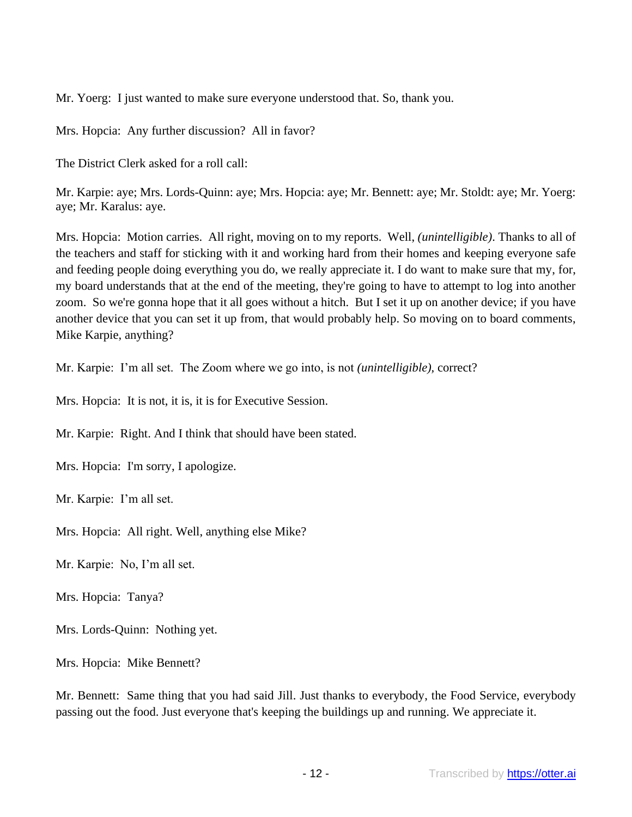Mr. Yoerg: I just wanted to make sure everyone understood that. So, thank you.

Mrs. Hopcia: Any further discussion? All in favor?

The District Clerk asked for a roll call:

Mr. Karpie: aye; Mrs. Lords-Quinn: aye; Mrs. Hopcia: aye; Mr. Bennett: aye; Mr. Stoldt: aye; Mr. Yoerg: aye; Mr. Karalus: aye.

Mrs. Hopcia: Motion carries. All right, moving on to my reports. Well, *(unintelligible)*. Thanks to all of the teachers and staff for sticking with it and working hard from their homes and keeping everyone safe and feeding people doing everything you do, we really appreciate it. I do want to make sure that my, for, my board understands that at the end of the meeting, they're going to have to attempt to log into another zoom. So we're gonna hope that it all goes without a hitch. But I set it up on another device; if you have another device that you can set it up from, that would probably help. So moving on to board comments, Mike Karpie, anything?

Mr. Karpie: I'm all set. The Zoom where we go into, is not *(unintelligible),* correct?

Mrs. Hopcia: It is not, it is, it is for Executive Session.

Mr. Karpie: Right. And I think that should have been stated.

Mrs. Hopcia: I'm sorry, I apologize.

Mr. Karpie: I'm all set.

Mrs. Hopcia: All right. Well, anything else Mike?

Mr. Karpie: No, I'm all set.

Mrs. Hopcia: Tanya?

Mrs. Lords-Quinn: Nothing yet.

Mrs. Hopcia: Mike Bennett?

Mr. Bennett: Same thing that you had said Jill. Just thanks to everybody, the Food Service, everybody passing out the food. Just everyone that's keeping the buildings up and running. We appreciate it.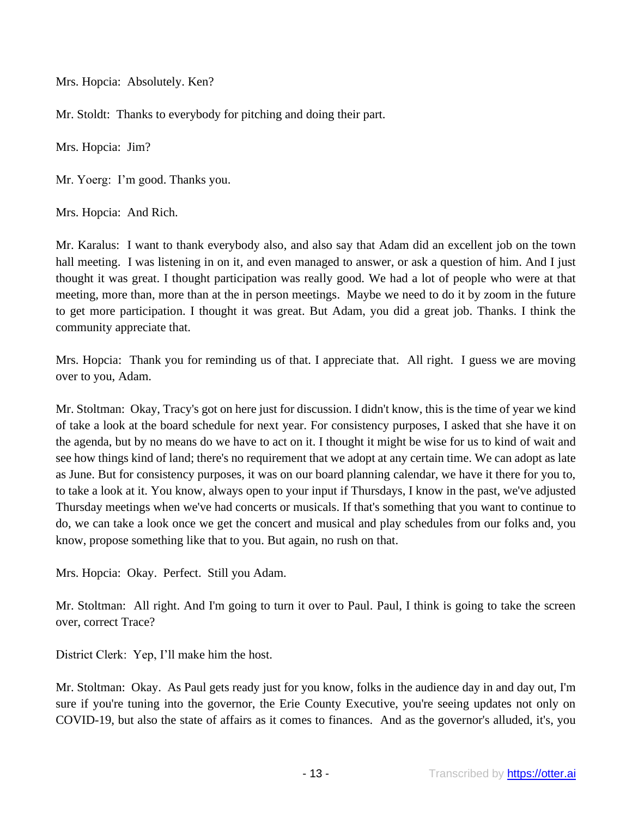Mrs. Hopcia: Absolutely. Ken?

Mr. Stoldt: Thanks to everybody for pitching and doing their part.

Mrs. Hopcia: Jim?

Mr. Yoerg: I'm good. Thanks you.

Mrs. Hopcia: And Rich.

Mr. Karalus: I want to thank everybody also, and also say that Adam did an excellent job on the town hall meeting. I was listening in on it, and even managed to answer, or ask a question of him. And I just thought it was great. I thought participation was really good. We had a lot of people who were at that meeting, more than, more than at the in person meetings. Maybe we need to do it by zoom in the future to get more participation. I thought it was great. But Adam, you did a great job. Thanks. I think the community appreciate that.

Mrs. Hopcia: Thank you for reminding us of that. I appreciate that. All right. I guess we are moving over to you, Adam.

Mr. Stoltman: Okay, Tracy's got on here just for discussion. I didn't know, this is the time of year we kind of take a look at the board schedule for next year. For consistency purposes, I asked that she have it on the agenda, but by no means do we have to act on it. I thought it might be wise for us to kind of wait and see how things kind of land; there's no requirement that we adopt at any certain time. We can adopt as late as June. But for consistency purposes, it was on our board planning calendar, we have it there for you to, to take a look at it. You know, always open to your input if Thursdays, I know in the past, we've adjusted Thursday meetings when we've had concerts or musicals. If that's something that you want to continue to do, we can take a look once we get the concert and musical and play schedules from our folks and, you know, propose something like that to you. But again, no rush on that.

Mrs. Hopcia: Okay. Perfect. Still you Adam.

Mr. Stoltman: All right. And I'm going to turn it over to Paul. Paul, I think is going to take the screen over, correct Trace?

District Clerk: Yep, I'll make him the host.

Mr. Stoltman: Okay. As Paul gets ready just for you know, folks in the audience day in and day out, I'm sure if you're tuning into the governor, the Erie County Executive, you're seeing updates not only on COVID-19, but also the state of affairs as it comes to finances. And as the governor's alluded, it's, you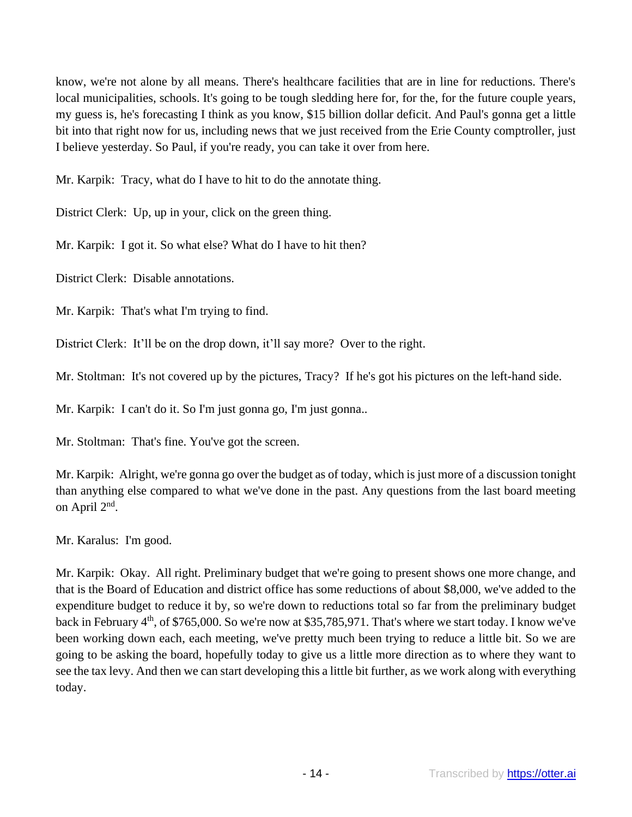know, we're not alone by all means. There's healthcare facilities that are in line for reductions. There's local municipalities, schools. It's going to be tough sledding here for, for the, for the future couple years, my guess is, he's forecasting I think as you know, \$15 billion dollar deficit. And Paul's gonna get a little bit into that right now for us, including news that we just received from the Erie County comptroller, just I believe yesterday. So Paul, if you're ready, you can take it over from here.

Mr. Karpik: Tracy, what do I have to hit to do the annotate thing.

District Clerk: Up, up in your, click on the green thing.

Mr. Karpik: I got it. So what else? What do I have to hit then?

District Clerk: Disable annotations.

Mr. Karpik: That's what I'm trying to find.

District Clerk: It'll be on the drop down, it'll say more? Over to the right.

Mr. Stoltman: It's not covered up by the pictures, Tracy? If he's got his pictures on the left-hand side.

Mr. Karpik: I can't do it. So I'm just gonna go, I'm just gonna..

Mr. Stoltman: That's fine. You've got the screen.

Mr. Karpik: Alright, we're gonna go over the budget as of today, which is just more of a discussion tonight than anything else compared to what we've done in the past. Any questions from the last board meeting on April 2<sup>nd</sup>.

Mr. Karalus: I'm good.

Mr. Karpik: Okay. All right. Preliminary budget that we're going to present shows one more change, and that is the Board of Education and district office has some reductions of about \$8,000, we've added to the expenditure budget to reduce it by, so we're down to reductions total so far from the preliminary budget back in February  $4<sup>th</sup>$ , of \$765,000. So we're now at \$35,785,971. That's where we start today. I know we've been working down each, each meeting, we've pretty much been trying to reduce a little bit. So we are going to be asking the board, hopefully today to give us a little more direction as to where they want to see the tax levy. And then we can start developing this a little bit further, as we work along with everything today.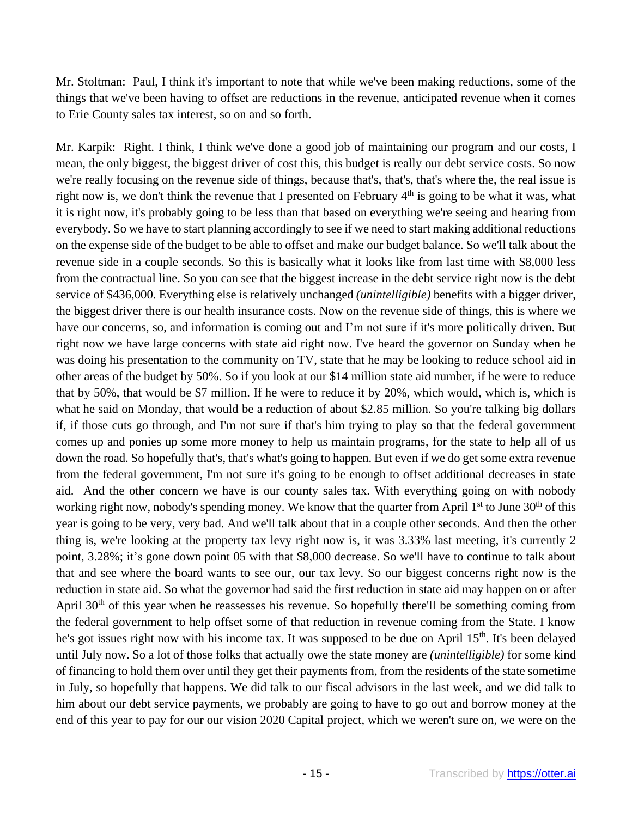Mr. Stoltman: Paul, I think it's important to note that while we've been making reductions, some of the things that we've been having to offset are reductions in the revenue, anticipated revenue when it comes to Erie County sales tax interest, so on and so forth.

Mr. Karpik: Right. I think, I think we've done a good job of maintaining our program and our costs, I mean, the only biggest, the biggest driver of cost this, this budget is really our debt service costs. So now we're really focusing on the revenue side of things, because that's, that's, that's where the, the real issue is right now is, we don't think the revenue that I presented on February  $4<sup>th</sup>$  is going to be what it was, what it is right now, it's probably going to be less than that based on everything we're seeing and hearing from everybody. So we have to start planning accordingly to see if we need to start making additional reductions on the expense side of the budget to be able to offset and make our budget balance. So we'll talk about the revenue side in a couple seconds. So this is basically what it looks like from last time with \$8,000 less from the contractual line. So you can see that the biggest increase in the debt service right now is the debt service of \$436,000. Everything else is relatively unchanged *(unintelligible)* benefits with a bigger driver, the biggest driver there is our health insurance costs. Now on the revenue side of things, this is where we have our concerns, so, and information is coming out and I'm not sure if it's more politically driven. But right now we have large concerns with state aid right now. I've heard the governor on Sunday when he was doing his presentation to the community on TV, state that he may be looking to reduce school aid in other areas of the budget by 50%. So if you look at our \$14 million state aid number, if he were to reduce that by 50%, that would be \$7 million. If he were to reduce it by 20%, which would, which is, which is what he said on Monday, that would be a reduction of about \$2.85 million. So you're talking big dollars if, if those cuts go through, and I'm not sure if that's him trying to play so that the federal government comes up and ponies up some more money to help us maintain programs, for the state to help all of us down the road. So hopefully that's, that's what's going to happen. But even if we do get some extra revenue from the federal government, I'm not sure it's going to be enough to offset additional decreases in state aid. And the other concern we have is our county sales tax. With everything going on with nobody working right now, nobody's spending money. We know that the quarter from April 1st to June 30<sup>th</sup> of this year is going to be very, very bad. And we'll talk about that in a couple other seconds. And then the other thing is, we're looking at the property tax levy right now is, it was 3.33% last meeting, it's currently 2 point, 3.28%; it's gone down point 05 with that \$8,000 decrease. So we'll have to continue to talk about that and see where the board wants to see our, our tax levy. So our biggest concerns right now is the reduction in state aid. So what the governor had said the first reduction in state aid may happen on or after April 30<sup>th</sup> of this year when he reassesses his revenue. So hopefully there'll be something coming from the federal government to help offset some of that reduction in revenue coming from the State. I know he's got issues right now with his income tax. It was supposed to be due on April 15<sup>th</sup>. It's been delayed until July now. So a lot of those folks that actually owe the state money are *(unintelligible)* for some kind of financing to hold them over until they get their payments from, from the residents of the state sometime in July, so hopefully that happens. We did talk to our fiscal advisors in the last week, and we did talk to him about our debt service payments, we probably are going to have to go out and borrow money at the end of this year to pay for our our vision 2020 Capital project, which we weren't sure on, we were on the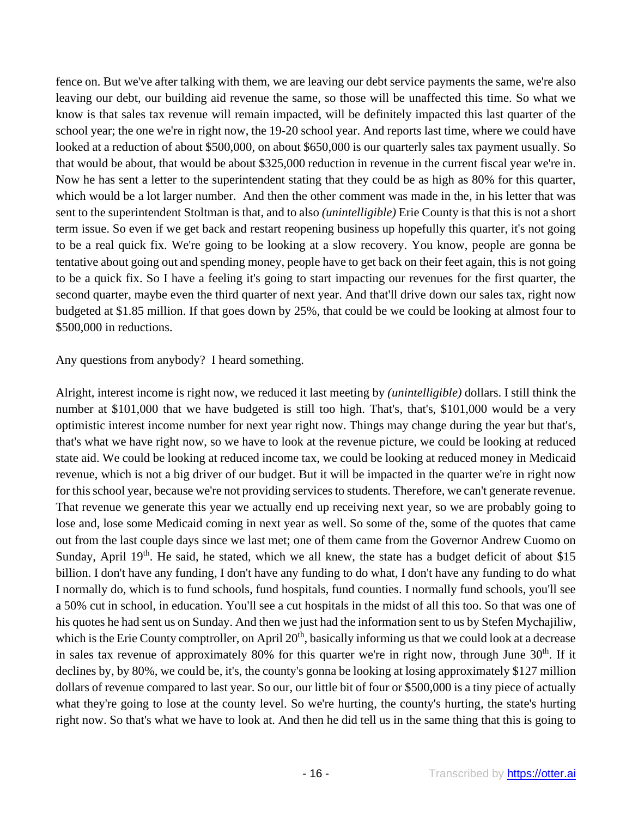fence on. But we've after talking with them, we are leaving our debt service payments the same, we're also leaving our debt, our building aid revenue the same, so those will be unaffected this time. So what we know is that sales tax revenue will remain impacted, will be definitely impacted this last quarter of the school year; the one we're in right now, the 19-20 school year. And reports last time, where we could have looked at a reduction of about \$500,000, on about \$650,000 is our quarterly sales tax payment usually. So that would be about, that would be about \$325,000 reduction in revenue in the current fiscal year we're in. Now he has sent a letter to the superintendent stating that they could be as high as 80% for this quarter, which would be a lot larger number. And then the other comment was made in the, in his letter that was sent to the superintendent Stoltman is that, and to also *(unintelligible)* Erie County is that this is not a short term issue. So even if we get back and restart reopening business up hopefully this quarter, it's not going to be a real quick fix. We're going to be looking at a slow recovery. You know, people are gonna be tentative about going out and spending money, people have to get back on their feet again, this is not going to be a quick fix. So I have a feeling it's going to start impacting our revenues for the first quarter, the second quarter, maybe even the third quarter of next year. And that'll drive down our sales tax, right now budgeted at \$1.85 million. If that goes down by 25%, that could be we could be looking at almost four to \$500,000 in reductions.

Any questions from anybody? I heard something.

Alright, interest income is right now, we reduced it last meeting by *(unintelligible)* dollars. I still think the number at \$101,000 that we have budgeted is still too high. That's, that's, \$101,000 would be a very optimistic interest income number for next year right now. Things may change during the year but that's, that's what we have right now, so we have to look at the revenue picture, we could be looking at reduced state aid. We could be looking at reduced income tax, we could be looking at reduced money in Medicaid revenue, which is not a big driver of our budget. But it will be impacted in the quarter we're in right now for this school year, because we're not providing services to students. Therefore, we can't generate revenue. That revenue we generate this year we actually end up receiving next year, so we are probably going to lose and, lose some Medicaid coming in next year as well. So some of the, some of the quotes that came out from the last couple days since we last met; one of them came from the Governor Andrew Cuomo on Sunday, April 19<sup>th</sup>. He said, he stated, which we all knew, the state has a budget deficit of about \$15 billion. I don't have any funding, I don't have any funding to do what, I don't have any funding to do what I normally do, which is to fund schools, fund hospitals, fund counties. I normally fund schools, you'll see a 50% cut in school, in education. You'll see a cut hospitals in the midst of all this too. So that was one of his quotes he had sent us on Sunday. And then we just had the information sent to us by Stefen Mychajiliw, which is the Erie County comptroller, on April  $20<sup>th</sup>$ , basically informing us that we could look at a decrease in sales tax revenue of approximately 80% for this quarter we're in right now, through June  $30<sup>th</sup>$ . If it declines by, by 80%, we could be, it's, the county's gonna be looking at losing approximately \$127 million dollars of revenue compared to last year. So our, our little bit of four or \$500,000 is a tiny piece of actually what they're going to lose at the county level. So we're hurting, the county's hurting, the state's hurting right now. So that's what we have to look at. And then he did tell us in the same thing that this is going to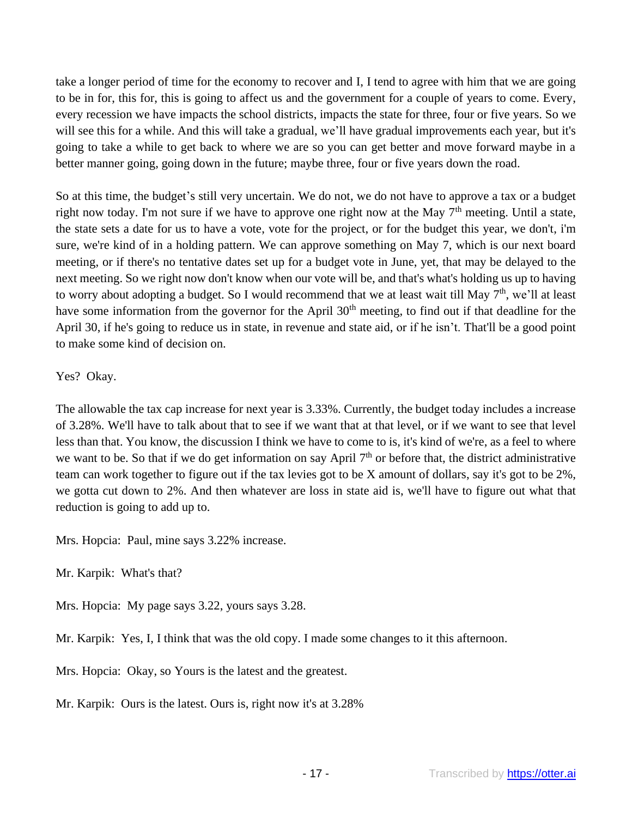take a longer period of time for the economy to recover and I, I tend to agree with him that we are going to be in for, this for, this is going to affect us and the government for a couple of years to come. Every, every recession we have impacts the school districts, impacts the state for three, four or five years. So we will see this for a while. And this will take a gradual, we'll have gradual improvements each year, but it's going to take a while to get back to where we are so you can get better and move forward maybe in a better manner going, going down in the future; maybe three, four or five years down the road.

So at this time, the budget's still very uncertain. We do not, we do not have to approve a tax or a budget right now today. I'm not sure if we have to approve one right now at the May  $7<sup>th</sup>$  meeting. Until a state, the state sets a date for us to have a vote, vote for the project, or for the budget this year, we don't, i'm sure, we're kind of in a holding pattern. We can approve something on May 7, which is our next board meeting, or if there's no tentative dates set up for a budget vote in June, yet, that may be delayed to the next meeting. So we right now don't know when our vote will be, and that's what's holding us up to having to worry about adopting a budget. So I would recommend that we at least wait till May  $7<sup>th</sup>$ , we'll at least have some information from the governor for the April  $30<sup>th</sup>$  meeting, to find out if that deadline for the April 30, if he's going to reduce us in state, in revenue and state aid, or if he isn't. That'll be a good point to make some kind of decision on.

### Yes? Okay.

The allowable the tax cap increase for next year is 3.33%. Currently, the budget today includes a increase of 3.28%. We'll have to talk about that to see if we want that at that level, or if we want to see that level less than that. You know, the discussion I think we have to come to is, it's kind of we're, as a feel to where we want to be. So that if we do get information on say April 7<sup>th</sup> or before that, the district administrative team can work together to figure out if the tax levies got to be X amount of dollars, say it's got to be 2%, we gotta cut down to 2%. And then whatever are loss in state aid is, we'll have to figure out what that reduction is going to add up to.

Mrs. Hopcia: Paul, mine says 3.22% increase.

Mr. Karpik: What's that?

Mrs. Hopcia: My page says 3.22, yours says 3.28.

Mr. Karpik: Yes, I, I think that was the old copy. I made some changes to it this afternoon.

Mrs. Hopcia: Okay, so Yours is the latest and the greatest.

Mr. Karpik: Ours is the latest. Ours is, right now it's at 3.28%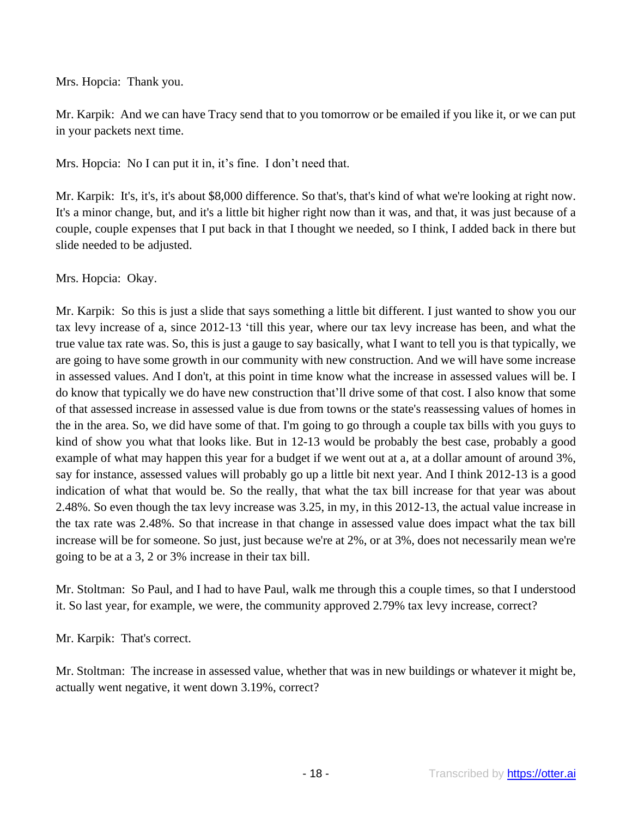Mrs. Hopcia: Thank you.

Mr. Karpik: And we can have Tracy send that to you tomorrow or be emailed if you like it, or we can put in your packets next time.

Mrs. Hopcia: No I can put it in, it's fine. I don't need that.

Mr. Karpik: It's, it's, it's about \$8,000 difference. So that's, that's kind of what we're looking at right now. It's a minor change, but, and it's a little bit higher right now than it was, and that, it was just because of a couple, couple expenses that I put back in that I thought we needed, so I think, I added back in there but slide needed to be adjusted.

Mrs. Hopcia: Okay.

Mr. Karpik: So this is just a slide that says something a little bit different. I just wanted to show you our tax levy increase of a, since 2012-13 'till this year, where our tax levy increase has been, and what the true value tax rate was. So, this is just a gauge to say basically, what I want to tell you is that typically, we are going to have some growth in our community with new construction. And we will have some increase in assessed values. And I don't, at this point in time know what the increase in assessed values will be. I do know that typically we do have new construction that'll drive some of that cost. I also know that some of that assessed increase in assessed value is due from towns or the state's reassessing values of homes in the in the area. So, we did have some of that. I'm going to go through a couple tax bills with you guys to kind of show you what that looks like. But in 12-13 would be probably the best case, probably a good example of what may happen this year for a budget if we went out at a, at a dollar amount of around 3%, say for instance, assessed values will probably go up a little bit next year. And I think 2012-13 is a good indication of what that would be. So the really, that what the tax bill increase for that year was about 2.48%. So even though the tax levy increase was 3.25, in my, in this 2012-13, the actual value increase in the tax rate was 2.48%. So that increase in that change in assessed value does impact what the tax bill increase will be for someone. So just, just because we're at 2%, or at 3%, does not necessarily mean we're going to be at a 3, 2 or 3% increase in their tax bill.

Mr. Stoltman: So Paul, and I had to have Paul, walk me through this a couple times, so that I understood it. So last year, for example, we were, the community approved 2.79% tax levy increase, correct?

Mr. Karpik: That's correct.

Mr. Stoltman: The increase in assessed value, whether that was in new buildings or whatever it might be, actually went negative, it went down 3.19%, correct?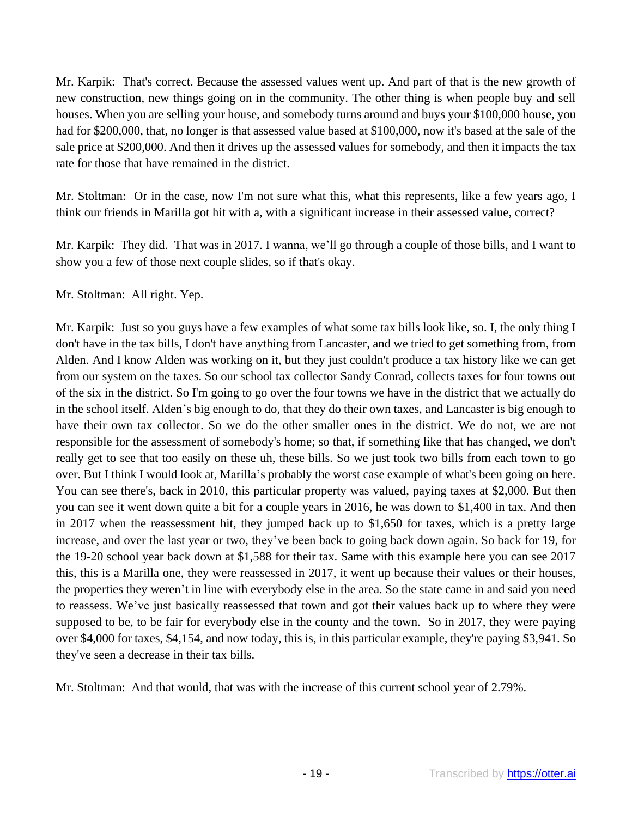Mr. Karpik: That's correct. Because the assessed values went up. And part of that is the new growth of new construction, new things going on in the community. The other thing is when people buy and sell houses. When you are selling your house, and somebody turns around and buys your \$100,000 house, you had for \$200,000, that, no longer is that assessed value based at \$100,000, now it's based at the sale of the sale price at \$200,000. And then it drives up the assessed values for somebody, and then it impacts the tax rate for those that have remained in the district.

Mr. Stoltman: Or in the case, now I'm not sure what this, what this represents, like a few years ago, I think our friends in Marilla got hit with a, with a significant increase in their assessed value, correct?

Mr. Karpik: They did. That was in 2017. I wanna, we'll go through a couple of those bills, and I want to show you a few of those next couple slides, so if that's okay.

Mr. Stoltman: All right. Yep.

Mr. Karpik: Just so you guys have a few examples of what some tax bills look like, so. I, the only thing I don't have in the tax bills, I don't have anything from Lancaster, and we tried to get something from, from Alden. And I know Alden was working on it, but they just couldn't produce a tax history like we can get from our system on the taxes. So our school tax collector Sandy Conrad, collects taxes for four towns out of the six in the district. So I'm going to go over the four towns we have in the district that we actually do in the school itself. Alden's big enough to do, that they do their own taxes, and Lancaster is big enough to have their own tax collector. So we do the other smaller ones in the district. We do not, we are not responsible for the assessment of somebody's home; so that, if something like that has changed, we don't really get to see that too easily on these uh, these bills. So we just took two bills from each town to go over. But I think I would look at, Marilla's probably the worst case example of what's been going on here. You can see there's, back in 2010, this particular property was valued, paying taxes at \$2,000. But then you can see it went down quite a bit for a couple years in 2016, he was down to \$1,400 in tax. And then in 2017 when the reassessment hit, they jumped back up to \$1,650 for taxes, which is a pretty large increase, and over the last year or two, they've been back to going back down again. So back for 19, for the 19-20 school year back down at \$1,588 for their tax. Same with this example here you can see 2017 this, this is a Marilla one, they were reassessed in 2017, it went up because their values or their houses, the properties they weren't in line with everybody else in the area. So the state came in and said you need to reassess. We've just basically reassessed that town and got their values back up to where they were supposed to be, to be fair for everybody else in the county and the town. So in 2017, they were paying over \$4,000 for taxes, \$4,154, and now today, this is, in this particular example, they're paying \$3,941. So they've seen a decrease in their tax bills.

Mr. Stoltman: And that would, that was with the increase of this current school year of 2.79%.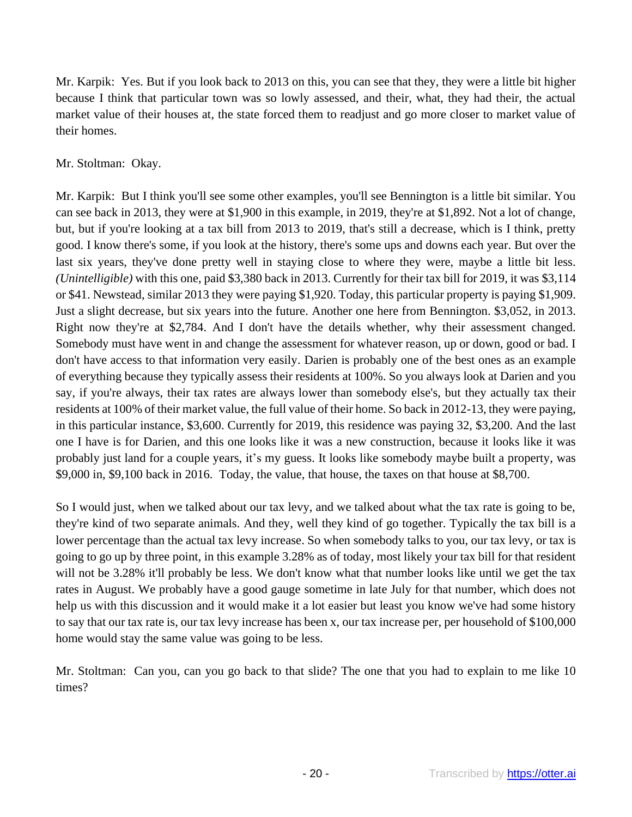Mr. Karpik: Yes. But if you look back to 2013 on this, you can see that they, they were a little bit higher because I think that particular town was so lowly assessed, and their, what, they had their, the actual market value of their houses at, the state forced them to readjust and go more closer to market value of their homes.

Mr. Stoltman: Okay.

Mr. Karpik: But I think you'll see some other examples, you'll see Bennington is a little bit similar. You can see back in 2013, they were at \$1,900 in this example, in 2019, they're at \$1,892. Not a lot of change, but, but if you're looking at a tax bill from 2013 to 2019, that's still a decrease, which is I think, pretty good. I know there's some, if you look at the history, there's some ups and downs each year. But over the last six years, they've done pretty well in staying close to where they were, maybe a little bit less. *(Unintelligible)* with this one, paid \$3,380 back in 2013. Currently for their tax bill for 2019, it was \$3,114 or \$41. Newstead, similar 2013 they were paying \$1,920. Today, this particular property is paying \$1,909. Just a slight decrease, but six years into the future. Another one here from Bennington. \$3,052, in 2013. Right now they're at \$2,784. And I don't have the details whether, why their assessment changed. Somebody must have went in and change the assessment for whatever reason, up or down, good or bad. I don't have access to that information very easily. Darien is probably one of the best ones as an example of everything because they typically assess their residents at 100%. So you always look at Darien and you say, if you're always, their tax rates are always lower than somebody else's, but they actually tax their residents at 100% of their market value, the full value of their home. So back in 2012-13, they were paying, in this particular instance, \$3,600. Currently for 2019, this residence was paying 32, \$3,200. And the last one I have is for Darien, and this one looks like it was a new construction, because it looks like it was probably just land for a couple years, it's my guess. It looks like somebody maybe built a property, was \$9,000 in, \$9,100 back in 2016. Today, the value, that house, the taxes on that house at \$8,700.

So I would just, when we talked about our tax levy, and we talked about what the tax rate is going to be, they're kind of two separate animals. And they, well they kind of go together. Typically the tax bill is a lower percentage than the actual tax levy increase. So when somebody talks to you, our tax levy, or tax is going to go up by three point, in this example 3.28% as of today, most likely your tax bill for that resident will not be 3.28% it'll probably be less. We don't know what that number looks like until we get the tax rates in August. We probably have a good gauge sometime in late July for that number, which does not help us with this discussion and it would make it a lot easier but least you know we've had some history to say that our tax rate is, our tax levy increase has been x, our tax increase per, per household of \$100,000 home would stay the same value was going to be less.

Mr. Stoltman: Can you, can you go back to that slide? The one that you had to explain to me like 10 times?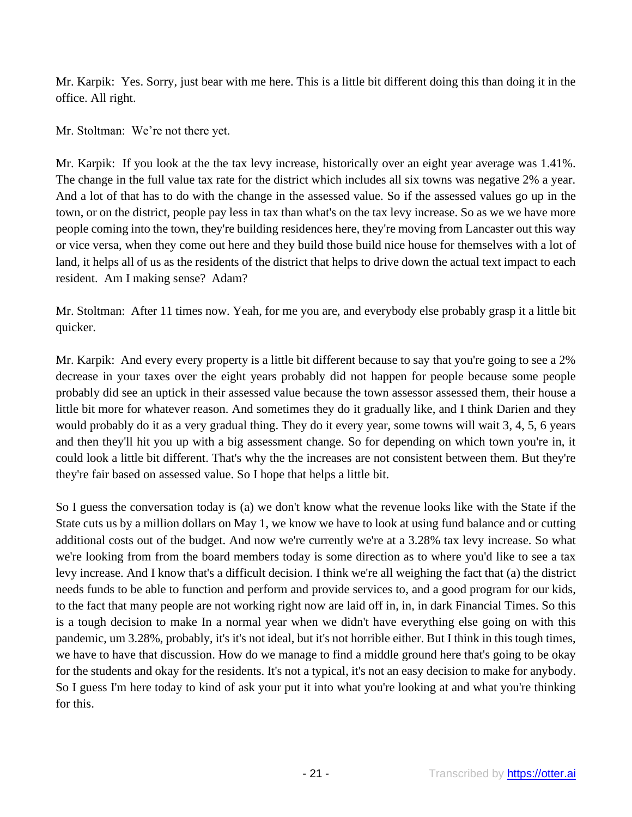Mr. Karpik: Yes. Sorry, just bear with me here. This is a little bit different doing this than doing it in the office. All right.

Mr. Stoltman: We're not there yet.

Mr. Karpik: If you look at the the tax levy increase, historically over an eight year average was 1.41%. The change in the full value tax rate for the district which includes all six towns was negative 2% a year. And a lot of that has to do with the change in the assessed value. So if the assessed values go up in the town, or on the district, people pay less in tax than what's on the tax levy increase. So as we we have more people coming into the town, they're building residences here, they're moving from Lancaster out this way or vice versa, when they come out here and they build those build nice house for themselves with a lot of land, it helps all of us as the residents of the district that helps to drive down the actual text impact to each resident. Am I making sense? Adam?

Mr. Stoltman: After 11 times now. Yeah, for me you are, and everybody else probably grasp it a little bit quicker.

Mr. Karpik: And every every property is a little bit different because to say that you're going to see a 2% decrease in your taxes over the eight years probably did not happen for people because some people probably did see an uptick in their assessed value because the town assessor assessed them, their house a little bit more for whatever reason. And sometimes they do it gradually like, and I think Darien and they would probably do it as a very gradual thing. They do it every year, some towns will wait 3, 4, 5, 6 years and then they'll hit you up with a big assessment change. So for depending on which town you're in, it could look a little bit different. That's why the the increases are not consistent between them. But they're they're fair based on assessed value. So I hope that helps a little bit.

So I guess the conversation today is (a) we don't know what the revenue looks like with the State if the State cuts us by a million dollars on May 1, we know we have to look at using fund balance and or cutting additional costs out of the budget. And now we're currently we're at a 3.28% tax levy increase. So what we're looking from from the board members today is some direction as to where you'd like to see a tax levy increase. And I know that's a difficult decision. I think we're all weighing the fact that (a) the district needs funds to be able to function and perform and provide services to, and a good program for our kids, to the fact that many people are not working right now are laid off in, in, in dark Financial Times. So this is a tough decision to make In a normal year when we didn't have everything else going on with this pandemic, um 3.28%, probably, it's it's not ideal, but it's not horrible either. But I think in this tough times, we have to have that discussion. How do we manage to find a middle ground here that's going to be okay for the students and okay for the residents. It's not a typical, it's not an easy decision to make for anybody. So I guess I'm here today to kind of ask your put it into what you're looking at and what you're thinking for this.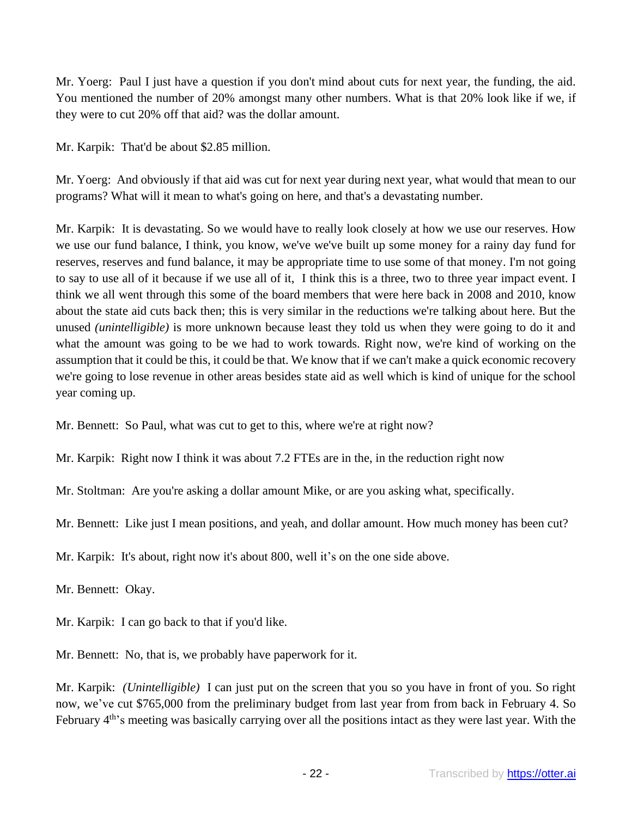Mr. Yoerg: Paul I just have a question if you don't mind about cuts for next year, the funding, the aid. You mentioned the number of 20% amongst many other numbers. What is that 20% look like if we, if they were to cut 20% off that aid? was the dollar amount.

Mr. Karpik: That'd be about \$2.85 million.

Mr. Yoerg: And obviously if that aid was cut for next year during next year, what would that mean to our programs? What will it mean to what's going on here, and that's a devastating number.

Mr. Karpik: It is devastating. So we would have to really look closely at how we use our reserves. How we use our fund balance, I think, you know, we've we've built up some money for a rainy day fund for reserves, reserves and fund balance, it may be appropriate time to use some of that money. I'm not going to say to use all of it because if we use all of it, I think this is a three, two to three year impact event. I think we all went through this some of the board members that were here back in 2008 and 2010, know about the state aid cuts back then; this is very similar in the reductions we're talking about here. But the unused *(unintelligible)* is more unknown because least they told us when they were going to do it and what the amount was going to be we had to work towards. Right now, we're kind of working on the assumption that it could be this, it could be that. We know that if we can't make a quick economic recovery we're going to lose revenue in other areas besides state aid as well which is kind of unique for the school year coming up.

Mr. Bennett: So Paul, what was cut to get to this, where we're at right now?

Mr. Karpik: Right now I think it was about 7.2 FTEs are in the, in the reduction right now

Mr. Stoltman: Are you're asking a dollar amount Mike, or are you asking what, specifically.

Mr. Bennett: Like just I mean positions, and yeah, and dollar amount. How much money has been cut?

Mr. Karpik: It's about, right now it's about 800, well it's on the one side above.

Mr. Bennett: Okay.

Mr. Karpik: I can go back to that if you'd like.

Mr. Bennett: No, that is, we probably have paperwork for it.

Mr. Karpik: *(Unintelligible)* I can just put on the screen that you so you have in front of you. So right now, we've cut \$765,000 from the preliminary budget from last year from from back in February 4. So February 4<sup>th</sup>'s meeting was basically carrying over all the positions intact as they were last year. With the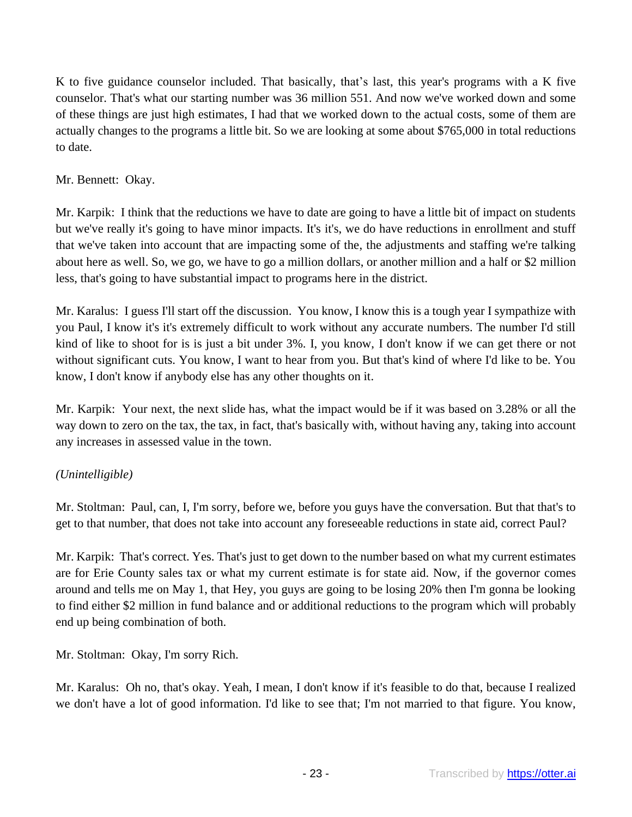K to five guidance counselor included. That basically, that's last, this year's programs with a K five counselor. That's what our starting number was 36 million 551. And now we've worked down and some of these things are just high estimates, I had that we worked down to the actual costs, some of them are actually changes to the programs a little bit. So we are looking at some about \$765,000 in total reductions to date.

Mr. Bennett: Okay.

Mr. Karpik: I think that the reductions we have to date are going to have a little bit of impact on students but we've really it's going to have minor impacts. It's it's, we do have reductions in enrollment and stuff that we've taken into account that are impacting some of the, the adjustments and staffing we're talking about here as well. So, we go, we have to go a million dollars, or another million and a half or \$2 million less, that's going to have substantial impact to programs here in the district.

Mr. Karalus: I guess I'll start off the discussion. You know, I know this is a tough year I sympathize with you Paul, I know it's it's extremely difficult to work without any accurate numbers. The number I'd still kind of like to shoot for is is just a bit under 3%. I, you know, I don't know if we can get there or not without significant cuts. You know, I want to hear from you. But that's kind of where I'd like to be. You know, I don't know if anybody else has any other thoughts on it.

Mr. Karpik: Your next, the next slide has, what the impact would be if it was based on 3.28% or all the way down to zero on the tax, the tax, in fact, that's basically with, without having any, taking into account any increases in assessed value in the town.

# *(Unintelligible)*

Mr. Stoltman: Paul, can, I, I'm sorry, before we, before you guys have the conversation. But that that's to get to that number, that does not take into account any foreseeable reductions in state aid, correct Paul?

Mr. Karpik: That's correct. Yes. That's just to get down to the number based on what my current estimates are for Erie County sales tax or what my current estimate is for state aid. Now, if the governor comes around and tells me on May 1, that Hey, you guys are going to be losing 20% then I'm gonna be looking to find either \$2 million in fund balance and or additional reductions to the program which will probably end up being combination of both.

Mr. Stoltman: Okay, I'm sorry Rich.

Mr. Karalus: Oh no, that's okay. Yeah, I mean, I don't know if it's feasible to do that, because I realized we don't have a lot of good information. I'd like to see that; I'm not married to that figure. You know,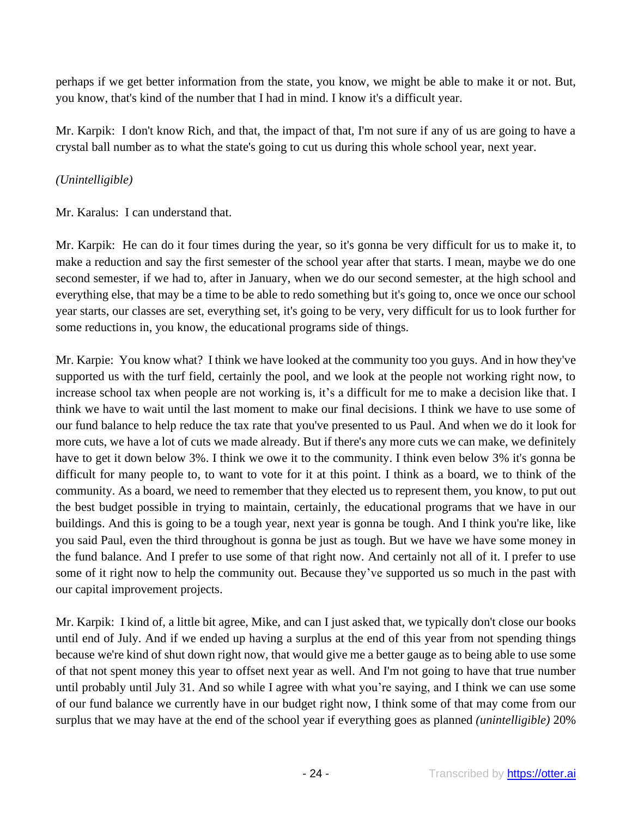perhaps if we get better information from the state, you know, we might be able to make it or not. But, you know, that's kind of the number that I had in mind. I know it's a difficult year.

Mr. Karpik: I don't know Rich, and that, the impact of that, I'm not sure if any of us are going to have a crystal ball number as to what the state's going to cut us during this whole school year, next year.

## *(Unintelligible)*

Mr. Karalus: I can understand that.

Mr. Karpik: He can do it four times during the year, so it's gonna be very difficult for us to make it, to make a reduction and say the first semester of the school year after that starts. I mean, maybe we do one second semester, if we had to, after in January, when we do our second semester, at the high school and everything else, that may be a time to be able to redo something but it's going to, once we once our school year starts, our classes are set, everything set, it's going to be very, very difficult for us to look further for some reductions in, you know, the educational programs side of things.

Mr. Karpie: You know what? I think we have looked at the community too you guys. And in how they've supported us with the turf field, certainly the pool, and we look at the people not working right now, to increase school tax when people are not working is, it's a difficult for me to make a decision like that. I think we have to wait until the last moment to make our final decisions. I think we have to use some of our fund balance to help reduce the tax rate that you've presented to us Paul. And when we do it look for more cuts, we have a lot of cuts we made already. But if there's any more cuts we can make, we definitely have to get it down below 3%. I think we owe it to the community. I think even below 3% it's gonna be difficult for many people to, to want to vote for it at this point. I think as a board, we to think of the community. As a board, we need to remember that they elected us to represent them, you know, to put out the best budget possible in trying to maintain, certainly, the educational programs that we have in our buildings. And this is going to be a tough year, next year is gonna be tough. And I think you're like, like you said Paul, even the third throughout is gonna be just as tough. But we have we have some money in the fund balance. And I prefer to use some of that right now. And certainly not all of it. I prefer to use some of it right now to help the community out. Because they've supported us so much in the past with our capital improvement projects.

Mr. Karpik: I kind of, a little bit agree, Mike, and can I just asked that, we typically don't close our books until end of July. And if we ended up having a surplus at the end of this year from not spending things because we're kind of shut down right now, that would give me a better gauge as to being able to use some of that not spent money this year to offset next year as well. And I'm not going to have that true number until probably until July 31. And so while I agree with what you're saying, and I think we can use some of our fund balance we currently have in our budget right now, I think some of that may come from our surplus that we may have at the end of the school year if everything goes as planned *(unintelligible)* 20%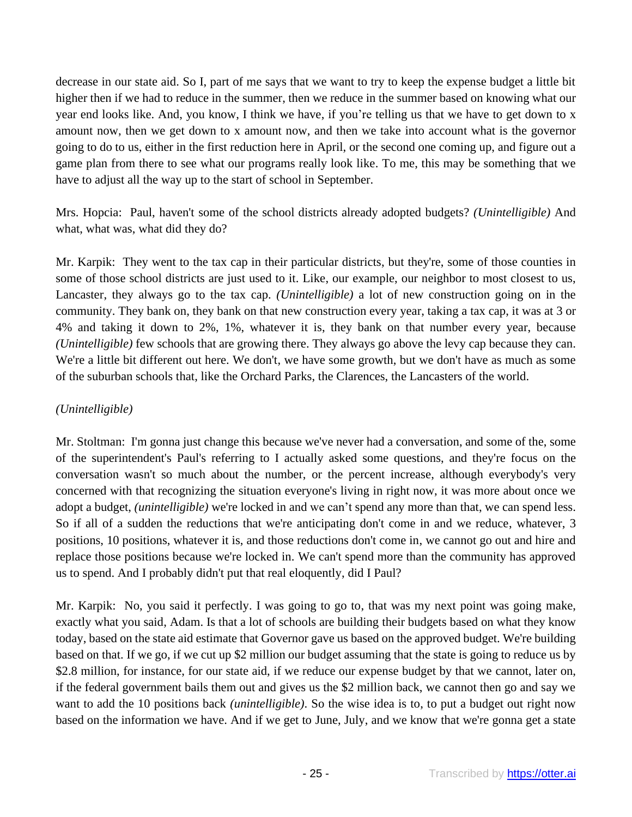decrease in our state aid. So I, part of me says that we want to try to keep the expense budget a little bit higher then if we had to reduce in the summer, then we reduce in the summer based on knowing what our year end looks like. And, you know, I think we have, if you're telling us that we have to get down to x amount now, then we get down to x amount now, and then we take into account what is the governor going to do to us, either in the first reduction here in April, or the second one coming up, and figure out a game plan from there to see what our programs really look like. To me, this may be something that we have to adjust all the way up to the start of school in September.

Mrs. Hopcia: Paul, haven't some of the school districts already adopted budgets? *(Unintelligible)* And what, what was, what did they do?

Mr. Karpik: They went to the tax cap in their particular districts, but they're, some of those counties in some of those school districts are just used to it. Like, our example, our neighbor to most closest to us, Lancaster, they always go to the tax cap. *(Unintelligible)* a lot of new construction going on in the community. They bank on, they bank on that new construction every year, taking a tax cap, it was at 3 or 4% and taking it down to 2%, 1%, whatever it is, they bank on that number every year, because *(Unintelligible)* few schools that are growing there. They always go above the levy cap because they can. We're a little bit different out here. We don't, we have some growth, but we don't have as much as some of the suburban schools that, like the Orchard Parks, the Clarences, the Lancasters of the world.

# *(Unintelligible)*

Mr. Stoltman: I'm gonna just change this because we've never had a conversation, and some of the, some of the superintendent's Paul's referring to I actually asked some questions, and they're focus on the conversation wasn't so much about the number, or the percent increase, although everybody's very concerned with that recognizing the situation everyone's living in right now, it was more about once we adopt a budget, *(unintelligible)* we're locked in and we can't spend any more than that, we can spend less. So if all of a sudden the reductions that we're anticipating don't come in and we reduce, whatever, 3 positions, 10 positions, whatever it is, and those reductions don't come in, we cannot go out and hire and replace those positions because we're locked in. We can't spend more than the community has approved us to spend. And I probably didn't put that real eloquently, did I Paul?

Mr. Karpik: No, you said it perfectly. I was going to go to, that was my next point was going make, exactly what you said, Adam. Is that a lot of schools are building their budgets based on what they know today, based on the state aid estimate that Governor gave us based on the approved budget. We're building based on that. If we go, if we cut up \$2 million our budget assuming that the state is going to reduce us by \$2.8 million, for instance, for our state aid, if we reduce our expense budget by that we cannot, later on, if the federal government bails them out and gives us the \$2 million back, we cannot then go and say we want to add the 10 positions back *(unintelligible)*. So the wise idea is to, to put a budget out right now based on the information we have. And if we get to June, July, and we know that we're gonna get a state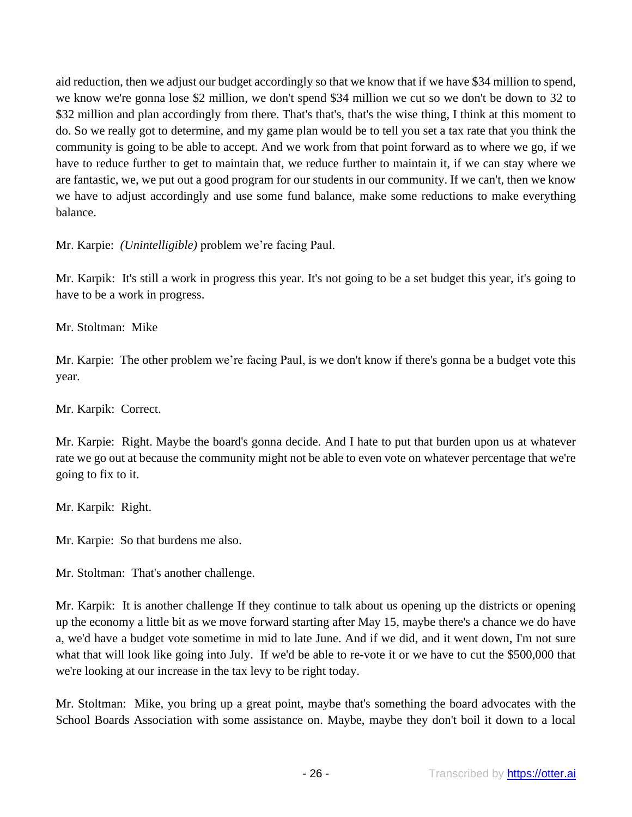aid reduction, then we adjust our budget accordingly so that we know that if we have \$34 million to spend, we know we're gonna lose \$2 million, we don't spend \$34 million we cut so we don't be down to 32 to \$32 million and plan accordingly from there. That's that's, that's the wise thing, I think at this moment to do. So we really got to determine, and my game plan would be to tell you set a tax rate that you think the community is going to be able to accept. And we work from that point forward as to where we go, if we have to reduce further to get to maintain that, we reduce further to maintain it, if we can stay where we are fantastic, we, we put out a good program for our students in our community. If we can't, then we know we have to adjust accordingly and use some fund balance, make some reductions to make everything balance.

Mr. Karpie: *(Unintelligible)* problem we're facing Paul.

Mr. Karpik: It's still a work in progress this year. It's not going to be a set budget this year, it's going to have to be a work in progress.

Mr. Stoltman: Mike

Mr. Karpie: The other problem we're facing Paul, is we don't know if there's gonna be a budget vote this year.

Mr. Karpik: Correct.

Mr. Karpie: Right. Maybe the board's gonna decide. And I hate to put that burden upon us at whatever rate we go out at because the community might not be able to even vote on whatever percentage that we're going to fix to it.

Mr. Karpik: Right.

Mr. Karpie: So that burdens me also.

Mr. Stoltman: That's another challenge.

Mr. Karpik: It is another challenge If they continue to talk about us opening up the districts or opening up the economy a little bit as we move forward starting after May 15, maybe there's a chance we do have a, we'd have a budget vote sometime in mid to late June. And if we did, and it went down, I'm not sure what that will look like going into July. If we'd be able to re-vote it or we have to cut the \$500,000 that we're looking at our increase in the tax levy to be right today.

Mr. Stoltman: Mike, you bring up a great point, maybe that's something the board advocates with the School Boards Association with some assistance on. Maybe, maybe they don't boil it down to a local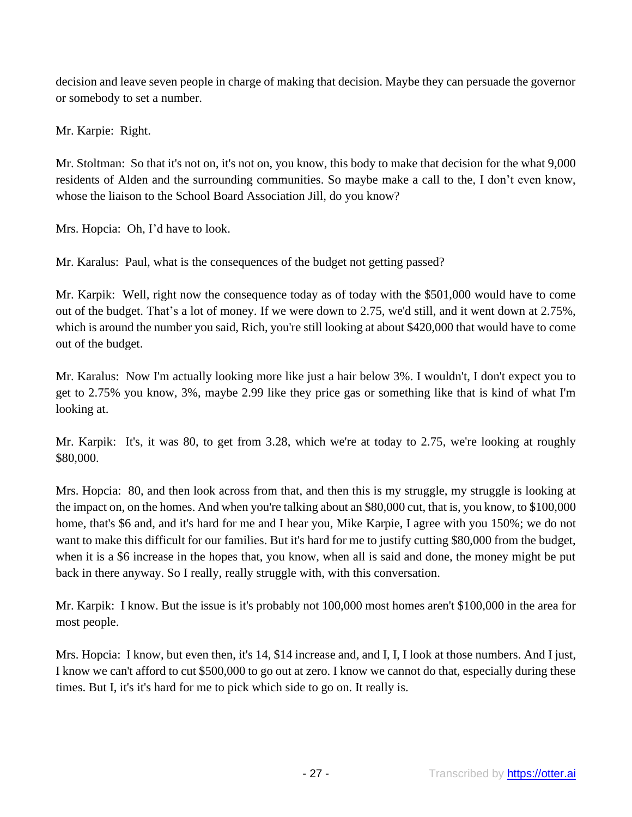decision and leave seven people in charge of making that decision. Maybe they can persuade the governor or somebody to set a number.

Mr. Karpie: Right.

Mr. Stoltman: So that it's not on, it's not on, you know, this body to make that decision for the what 9,000 residents of Alden and the surrounding communities. So maybe make a call to the, I don't even know, whose the liaison to the School Board Association Jill, do you know?

Mrs. Hopcia: Oh, I'd have to look.

Mr. Karalus: Paul, what is the consequences of the budget not getting passed?

Mr. Karpik: Well, right now the consequence today as of today with the \$501,000 would have to come out of the budget. That's a lot of money. If we were down to 2.75, we'd still, and it went down at 2.75%, which is around the number you said, Rich, you're still looking at about \$420,000 that would have to come out of the budget.

Mr. Karalus: Now I'm actually looking more like just a hair below 3%. I wouldn't, I don't expect you to get to 2.75% you know, 3%, maybe 2.99 like they price gas or something like that is kind of what I'm looking at.

Mr. Karpik: It's, it was 80, to get from 3.28, which we're at today to 2.75, we're looking at roughly \$80,000.

Mrs. Hopcia: 80, and then look across from that, and then this is my struggle, my struggle is looking at the impact on, on the homes. And when you're talking about an \$80,000 cut, that is, you know, to \$100,000 home, that's \$6 and, and it's hard for me and I hear you, Mike Karpie, I agree with you 150%; we do not want to make this difficult for our families. But it's hard for me to justify cutting \$80,000 from the budget, when it is a \$6 increase in the hopes that, you know, when all is said and done, the money might be put back in there anyway. So I really, really struggle with, with this conversation.

Mr. Karpik: I know. But the issue is it's probably not 100,000 most homes aren't \$100,000 in the area for most people.

Mrs. Hopcia: I know, but even then, it's 14, \$14 increase and, and I, I, I look at those numbers. And I just, I know we can't afford to cut \$500,000 to go out at zero. I know we cannot do that, especially during these times. But I, it's it's hard for me to pick which side to go on. It really is.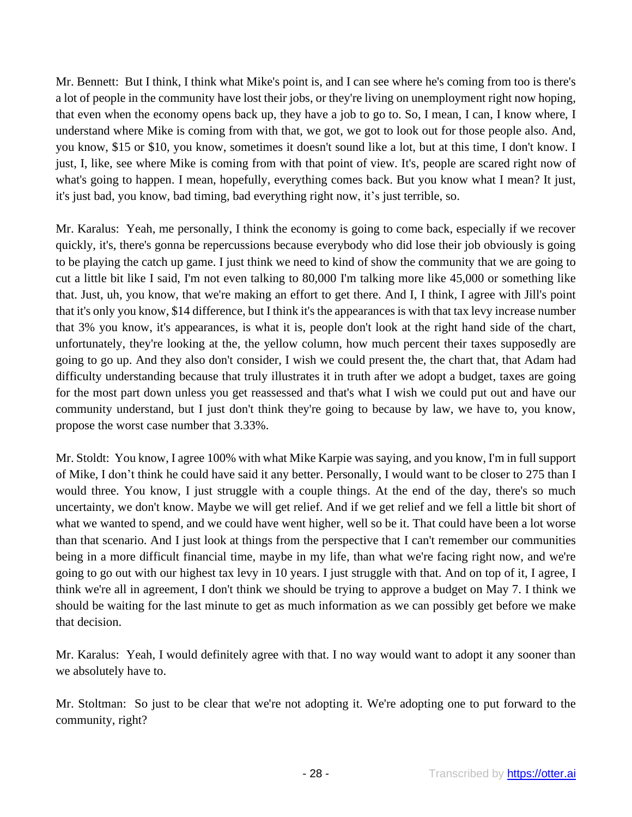Mr. Bennett: But I think, I think what Mike's point is, and I can see where he's coming from too is there's a lot of people in the community have lost their jobs, or they're living on unemployment right now hoping, that even when the economy opens back up, they have a job to go to. So, I mean, I can, I know where, I understand where Mike is coming from with that, we got, we got to look out for those people also. And, you know, \$15 or \$10, you know, sometimes it doesn't sound like a lot, but at this time, I don't know. I just, I, like, see where Mike is coming from with that point of view. It's, people are scared right now of what's going to happen. I mean, hopefully, everything comes back. But you know what I mean? It just, it's just bad, you know, bad timing, bad everything right now, it's just terrible, so.

Mr. Karalus: Yeah, me personally, I think the economy is going to come back, especially if we recover quickly, it's, there's gonna be repercussions because everybody who did lose their job obviously is going to be playing the catch up game. I just think we need to kind of show the community that we are going to cut a little bit like I said, I'm not even talking to 80,000 I'm talking more like 45,000 or something like that. Just, uh, you know, that we're making an effort to get there. And I, I think, I agree with Jill's point that it's only you know, \$14 difference, but I think it's the appearances is with that tax levy increase number that 3% you know, it's appearances, is what it is, people don't look at the right hand side of the chart, unfortunately, they're looking at the, the yellow column, how much percent their taxes supposedly are going to go up. And they also don't consider, I wish we could present the, the chart that, that Adam had difficulty understanding because that truly illustrates it in truth after we adopt a budget, taxes are going for the most part down unless you get reassessed and that's what I wish we could put out and have our community understand, but I just don't think they're going to because by law, we have to, you know, propose the worst case number that 3.33%.

Mr. Stoldt: You know, I agree 100% with what Mike Karpie was saying, and you know, I'm in full support of Mike, I don't think he could have said it any better. Personally, I would want to be closer to 275 than I would three. You know, I just struggle with a couple things. At the end of the day, there's so much uncertainty, we don't know. Maybe we will get relief. And if we get relief and we fell a little bit short of what we wanted to spend, and we could have went higher, well so be it. That could have been a lot worse than that scenario. And I just look at things from the perspective that I can't remember our communities being in a more difficult financial time, maybe in my life, than what we're facing right now, and we're going to go out with our highest tax levy in 10 years. I just struggle with that. And on top of it, I agree, I think we're all in agreement, I don't think we should be trying to approve a budget on May 7. I think we should be waiting for the last minute to get as much information as we can possibly get before we make that decision.

Mr. Karalus: Yeah, I would definitely agree with that. I no way would want to adopt it any sooner than we absolutely have to.

Mr. Stoltman: So just to be clear that we're not adopting it. We're adopting one to put forward to the community, right?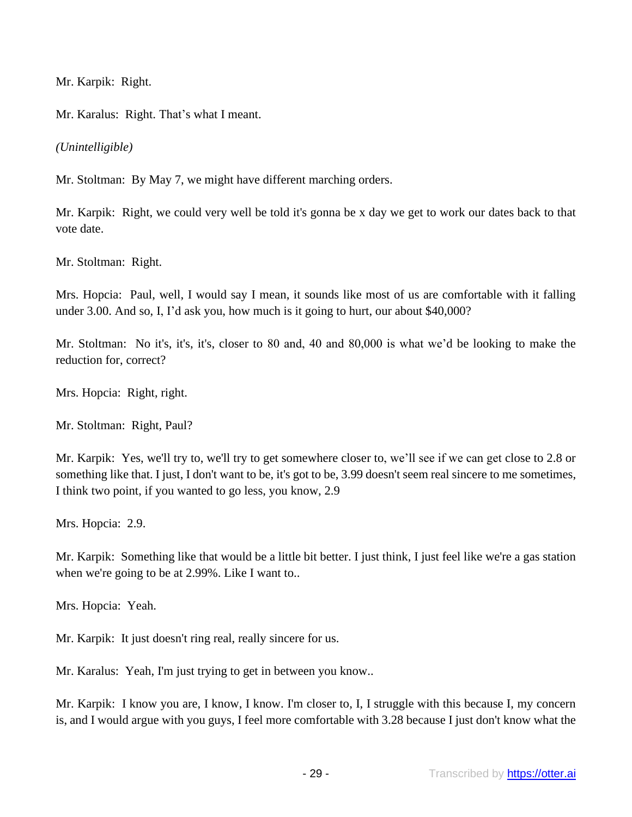Mr. Karpik: Right.

Mr. Karalus: Right. That's what I meant.

*(Unintelligible)*

Mr. Stoltman: By May 7, we might have different marching orders.

Mr. Karpik: Right, we could very well be told it's gonna be x day we get to work our dates back to that vote date.

Mr. Stoltman: Right.

Mrs. Hopcia: Paul, well, I would say I mean, it sounds like most of us are comfortable with it falling under 3.00. And so, I, I'd ask you, how much is it going to hurt, our about \$40,000?

Mr. Stoltman: No it's, it's, it's, closer to 80 and, 40 and 80,000 is what we'd be looking to make the reduction for, correct?

Mrs. Hopcia: Right, right.

Mr. Stoltman: Right, Paul?

Mr. Karpik: Yes, we'll try to, we'll try to get somewhere closer to, we'll see if we can get close to 2.8 or something like that. I just, I don't want to be, it's got to be, 3.99 doesn't seem real sincere to me sometimes, I think two point, if you wanted to go less, you know, 2.9

Mrs. Hopcia: 2.9.

Mr. Karpik: Something like that would be a little bit better. I just think, I just feel like we're a gas station when we're going to be at 2.99%. Like I want to..

Mrs. Hopcia: Yeah.

Mr. Karpik: It just doesn't ring real, really sincere for us.

Mr. Karalus: Yeah, I'm just trying to get in between you know..

Mr. Karpik: I know you are, I know, I know. I'm closer to, I, I struggle with this because I, my concern is, and I would argue with you guys, I feel more comfortable with 3.28 because I just don't know what the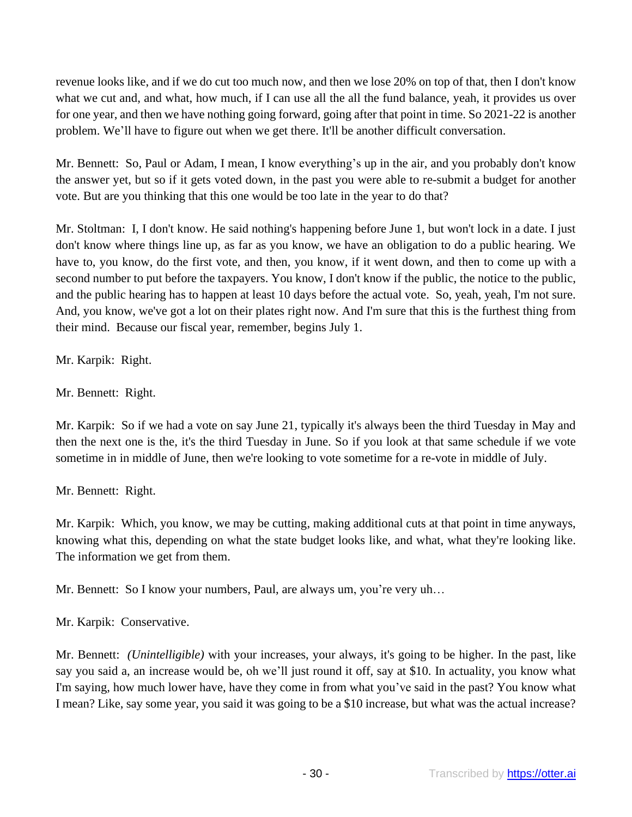revenue looks like, and if we do cut too much now, and then we lose 20% on top of that, then I don't know what we cut and, and what, how much, if I can use all the all the fund balance, yeah, it provides us over for one year, and then we have nothing going forward, going after that point in time. So 2021-22 is another problem. We'll have to figure out when we get there. It'll be another difficult conversation.

Mr. Bennett: So, Paul or Adam, I mean, I know everything's up in the air, and you probably don't know the answer yet, but so if it gets voted down, in the past you were able to re-submit a budget for another vote. But are you thinking that this one would be too late in the year to do that?

Mr. Stoltman: I, I don't know. He said nothing's happening before June 1, but won't lock in a date. I just don't know where things line up, as far as you know, we have an obligation to do a public hearing. We have to, you know, do the first vote, and then, you know, if it went down, and then to come up with a second number to put before the taxpayers. You know, I don't know if the public, the notice to the public, and the public hearing has to happen at least 10 days before the actual vote. So, yeah, yeah, I'm not sure. And, you know, we've got a lot on their plates right now. And I'm sure that this is the furthest thing from their mind. Because our fiscal year, remember, begins July 1.

Mr. Karpik: Right.

Mr. Bennett: Right.

Mr. Karpik: So if we had a vote on say June 21, typically it's always been the third Tuesday in May and then the next one is the, it's the third Tuesday in June. So if you look at that same schedule if we vote sometime in in middle of June, then we're looking to vote sometime for a re-vote in middle of July.

Mr. Bennett: Right.

Mr. Karpik: Which, you know, we may be cutting, making additional cuts at that point in time anyways, knowing what this, depending on what the state budget looks like, and what, what they're looking like. The information we get from them.

Mr. Bennett: So I know your numbers, Paul, are always um, you're very uh...

Mr. Karpik: Conservative.

Mr. Bennett: *(Unintelligible)* with your increases, your always, it's going to be higher. In the past, like say you said a, an increase would be, oh we'll just round it off, say at \$10. In actuality, you know what I'm saying, how much lower have, have they come in from what you've said in the past? You know what I mean? Like, say some year, you said it was going to be a \$10 increase, but what was the actual increase?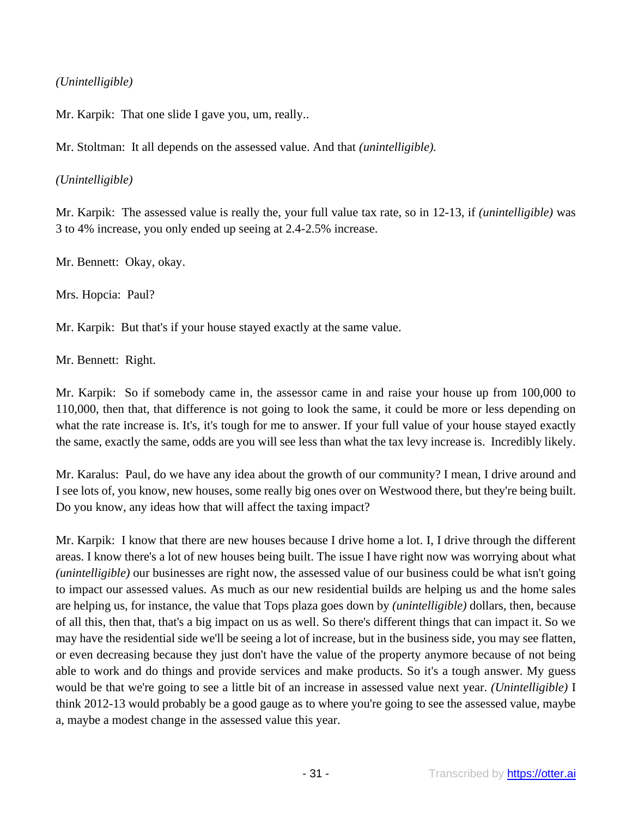## *(Unintelligible)*

Mr. Karpik: That one slide I gave you, um, really..

Mr. Stoltman: It all depends on the assessed value. And that *(unintelligible).*

*(Unintelligible)*

Mr. Karpik: The assessed value is really the, your full value tax rate, so in 12-13, if *(unintelligible)* was 3 to 4% increase, you only ended up seeing at 2.4-2.5% increase.

Mr. Bennett: Okay, okay.

Mrs. Hopcia: Paul?

Mr. Karpik: But that's if your house stayed exactly at the same value.

Mr. Bennett: Right.

Mr. Karpik: So if somebody came in, the assessor came in and raise your house up from 100,000 to 110,000, then that, that difference is not going to look the same, it could be more or less depending on what the rate increase is. It's, it's tough for me to answer. If your full value of your house stayed exactly the same, exactly the same, odds are you will see less than what the tax levy increase is. Incredibly likely.

Mr. Karalus: Paul, do we have any idea about the growth of our community? I mean, I drive around and I see lots of, you know, new houses, some really big ones over on Westwood there, but they're being built. Do you know, any ideas how that will affect the taxing impact?

Mr. Karpik: I know that there are new houses because I drive home a lot. I, I drive through the different areas. I know there's a lot of new houses being built. The issue I have right now was worrying about what *(unintelligible)* our businesses are right now, the assessed value of our business could be what isn't going to impact our assessed values. As much as our new residential builds are helping us and the home sales are helping us, for instance, the value that Tops plaza goes down by *(unintelligible)* dollars, then, because of all this, then that, that's a big impact on us as well. So there's different things that can impact it. So we may have the residential side we'll be seeing a lot of increase, but in the business side, you may see flatten, or even decreasing because they just don't have the value of the property anymore because of not being able to work and do things and provide services and make products. So it's a tough answer. My guess would be that we're going to see a little bit of an increase in assessed value next year. *(Unintelligible)* I think 2012-13 would probably be a good gauge as to where you're going to see the assessed value, maybe a, maybe a modest change in the assessed value this year.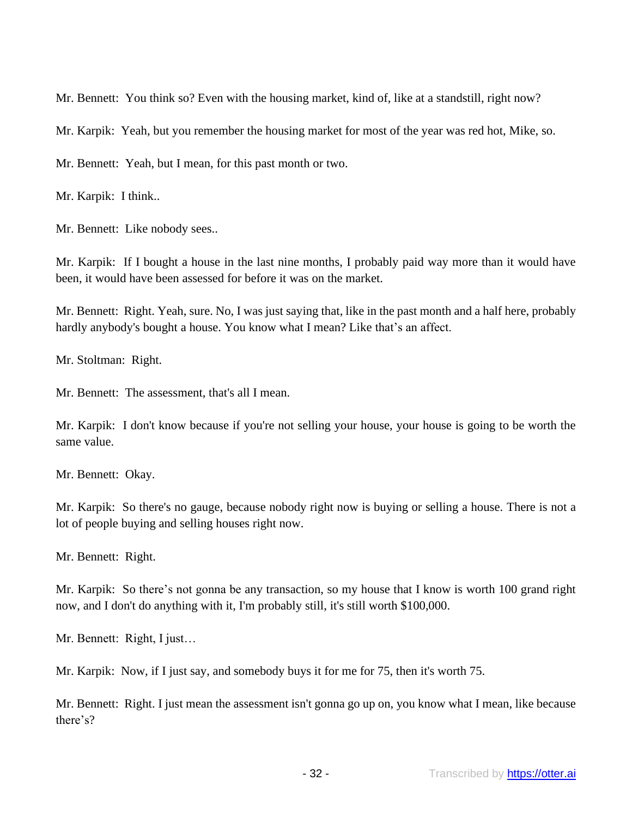Mr. Bennett: You think so? Even with the housing market, kind of, like at a standstill, right now?

Mr. Karpik: Yeah, but you remember the housing market for most of the year was red hot, Mike, so.

Mr. Bennett: Yeah, but I mean, for this past month or two.

Mr. Karpik: I think..

Mr. Bennett: Like nobody sees..

Mr. Karpik: If I bought a house in the last nine months, I probably paid way more than it would have been, it would have been assessed for before it was on the market.

Mr. Bennett: Right. Yeah, sure. No, I was just saying that, like in the past month and a half here, probably hardly anybody's bought a house. You know what I mean? Like that's an affect.

Mr. Stoltman: Right.

Mr. Bennett: The assessment, that's all I mean.

Mr. Karpik: I don't know because if you're not selling your house, your house is going to be worth the same value.

Mr. Bennett: Okay.

Mr. Karpik: So there's no gauge, because nobody right now is buying or selling a house. There is not a lot of people buying and selling houses right now.

Mr. Bennett: Right.

Mr. Karpik: So there's not gonna be any transaction, so my house that I know is worth 100 grand right now, and I don't do anything with it, I'm probably still, it's still worth \$100,000.

Mr. Bennett: Right, I just…

Mr. Karpik: Now, if I just say, and somebody buys it for me for 75, then it's worth 75.

Mr. Bennett: Right. I just mean the assessment isn't gonna go up on, you know what I mean, like because there's?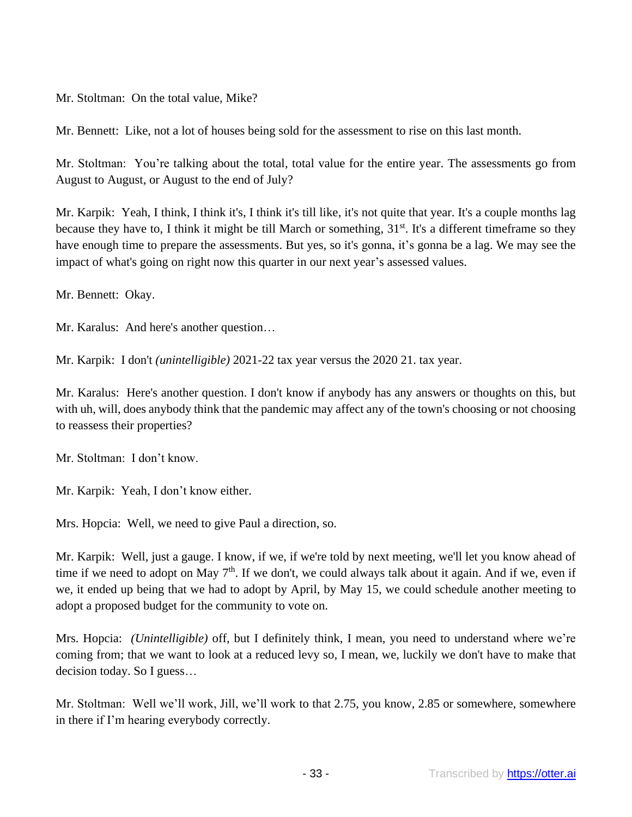Mr. Stoltman: On the total value, Mike?

Mr. Bennett: Like, not a lot of houses being sold for the assessment to rise on this last month.

Mr. Stoltman: You're talking about the total, total value for the entire year. The assessments go from August to August, or August to the end of July?

Mr. Karpik: Yeah, I think, I think it's, I think it's till like, it's not quite that year. It's a couple months lag because they have to, I think it might be till March or something, 31<sup>st</sup>. It's a different timeframe so they have enough time to prepare the assessments. But yes, so it's gonna, it's gonna be a lag. We may see the impact of what's going on right now this quarter in our next year's assessed values.

Mr. Bennett: Okay.

Mr. Karalus: And here's another question…

Mr. Karpik: I don't *(unintelligible)* 2021-22 tax year versus the 2020 21. tax year.

Mr. Karalus: Here's another question. I don't know if anybody has any answers or thoughts on this, but with uh, will, does anybody think that the pandemic may affect any of the town's choosing or not choosing to reassess their properties?

Mr. Stoltman: I don't know.

Mr. Karpik: Yeah, I don't know either.

Mrs. Hopcia: Well, we need to give Paul a direction, so.

Mr. Karpik: Well, just a gauge. I know, if we, if we're told by next meeting, we'll let you know ahead of time if we need to adopt on May  $7<sup>th</sup>$ . If we don't, we could always talk about it again. And if we, even if we, it ended up being that we had to adopt by April, by May 15, we could schedule another meeting to adopt a proposed budget for the community to vote on.

Mrs. Hopcia: *(Unintelligible)* off, but I definitely think, I mean, you need to understand where we're coming from; that we want to look at a reduced levy so, I mean, we, luckily we don't have to make that decision today. So I guess…

Mr. Stoltman: Well we'll work, Jill, we'll work to that 2.75, you know, 2.85 or somewhere, somewhere in there if I'm hearing everybody correctly.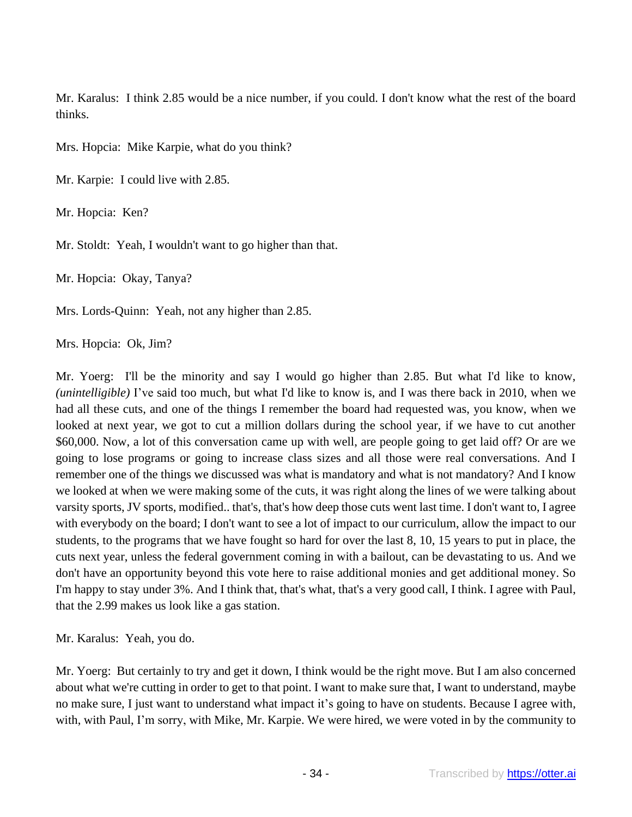Mr. Karalus: I think 2.85 would be a nice number, if you could. I don't know what the rest of the board thinks.

Mrs. Hopcia: Mike Karpie, what do you think?

Mr. Karpie: I could live with 2.85.

Mr. Hopcia: Ken?

Mr. Stoldt: Yeah, I wouldn't want to go higher than that.

Mr. Hopcia: Okay, Tanya?

Mrs. Lords-Quinn: Yeah, not any higher than 2.85.

Mrs. Hopcia: Ok, Jim?

Mr. Yoerg: I'll be the minority and say I would go higher than 2.85. But what I'd like to know, *(unintelligible)* I've said too much, but what I'd like to know is, and I was there back in 2010, when we had all these cuts, and one of the things I remember the board had requested was, you know, when we looked at next year, we got to cut a million dollars during the school year, if we have to cut another \$60,000. Now, a lot of this conversation came up with well, are people going to get laid off? Or are we going to lose programs or going to increase class sizes and all those were real conversations. And I remember one of the things we discussed was what is mandatory and what is not mandatory? And I know we looked at when we were making some of the cuts, it was right along the lines of we were talking about varsity sports, JV sports, modified.. that's, that's how deep those cuts went last time. I don't want to, I agree with everybody on the board; I don't want to see a lot of impact to our curriculum, allow the impact to our students, to the programs that we have fought so hard for over the last 8, 10, 15 years to put in place, the cuts next year, unless the federal government coming in with a bailout, can be devastating to us. And we don't have an opportunity beyond this vote here to raise additional monies and get additional money. So I'm happy to stay under 3%. And I think that, that's what, that's a very good call, I think. I agree with Paul, that the 2.99 makes us look like a gas station.

Mr. Karalus: Yeah, you do.

Mr. Yoerg: But certainly to try and get it down, I think would be the right move. But I am also concerned about what we're cutting in order to get to that point. I want to make sure that, I want to understand, maybe no make sure, I just want to understand what impact it's going to have on students. Because I agree with, with, with Paul, I'm sorry, with Mike, Mr. Karpie. We were hired, we were voted in by the community to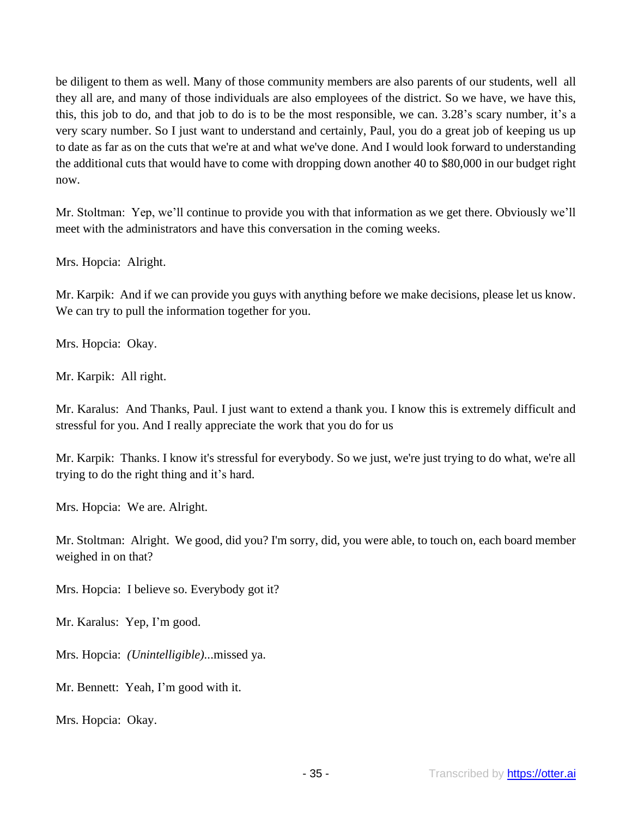be diligent to them as well. Many of those community members are also parents of our students, well all they all are, and many of those individuals are also employees of the district. So we have, we have this, this, this job to do, and that job to do is to be the most responsible, we can. 3.28's scary number, it's a very scary number. So I just want to understand and certainly, Paul, you do a great job of keeping us up to date as far as on the cuts that we're at and what we've done. And I would look forward to understanding the additional cuts that would have to come with dropping down another 40 to \$80,000 in our budget right now.

Mr. Stoltman: Yep, we'll continue to provide you with that information as we get there. Obviously we'll meet with the administrators and have this conversation in the coming weeks.

Mrs. Hopcia: Alright.

Mr. Karpik: And if we can provide you guys with anything before we make decisions, please let us know. We can try to pull the information together for you.

Mrs. Hopcia: Okay.

Mr. Karpik: All right.

Mr. Karalus: And Thanks, Paul. I just want to extend a thank you. I know this is extremely difficult and stressful for you. And I really appreciate the work that you do for us

Mr. Karpik: Thanks. I know it's stressful for everybody. So we just, we're just trying to do what, we're all trying to do the right thing and it's hard.

Mrs. Hopcia: We are. Alright.

Mr. Stoltman: Alright. We good, did you? I'm sorry, did, you were able, to touch on, each board member weighed in on that?

Mrs. Hopcia: I believe so. Everybody got it?

Mr. Karalus: Yep, I'm good.

Mrs. Hopcia: *(Unintelligible)..*.missed ya.

Mr. Bennett: Yeah, I'm good with it.

Mrs. Hopcia: Okay.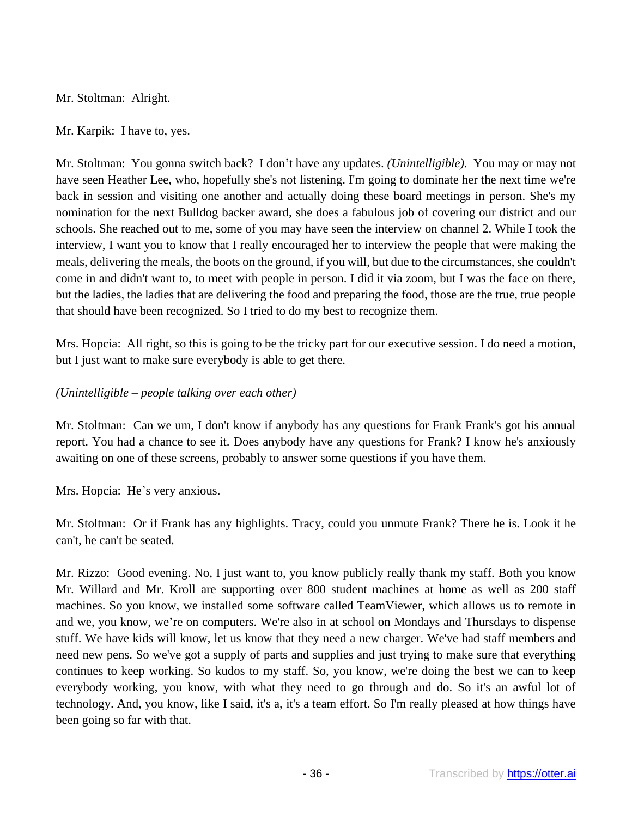Mr. Stoltman: Alright.

Mr. Karpik: I have to, yes.

Mr. Stoltman: You gonna switch back? I don't have any updates. *(Unintelligible).* You may or may not have seen Heather Lee, who, hopefully she's not listening. I'm going to dominate her the next time we're back in session and visiting one another and actually doing these board meetings in person. She's my nomination for the next Bulldog backer award, she does a fabulous job of covering our district and our schools. She reached out to me, some of you may have seen the interview on channel 2. While I took the interview, I want you to know that I really encouraged her to interview the people that were making the meals, delivering the meals, the boots on the ground, if you will, but due to the circumstances, she couldn't come in and didn't want to, to meet with people in person. I did it via zoom, but I was the face on there, but the ladies, the ladies that are delivering the food and preparing the food, those are the true, true people that should have been recognized. So I tried to do my best to recognize them.

Mrs. Hopcia: All right, so this is going to be the tricky part for our executive session. I do need a motion, but I just want to make sure everybody is able to get there.

### *(Unintelligible – people talking over each other)*

Mr. Stoltman: Can we um, I don't know if anybody has any questions for Frank Frank's got his annual report. You had a chance to see it. Does anybody have any questions for Frank? I know he's anxiously awaiting on one of these screens, probably to answer some questions if you have them.

Mrs. Hopcia: He's very anxious.

Mr. Stoltman: Or if Frank has any highlights. Tracy, could you unmute Frank? There he is. Look it he can't, he can't be seated.

Mr. Rizzo: Good evening. No, I just want to, you know publicly really thank my staff. Both you know Mr. Willard and Mr. Kroll are supporting over 800 student machines at home as well as 200 staff machines. So you know, we installed some software called TeamViewer, which allows us to remote in and we, you know, we're on computers. We're also in at school on Mondays and Thursdays to dispense stuff. We have kids will know, let us know that they need a new charger. We've had staff members and need new pens. So we've got a supply of parts and supplies and just trying to make sure that everything continues to keep working. So kudos to my staff. So, you know, we're doing the best we can to keep everybody working, you know, with what they need to go through and do. So it's an awful lot of technology. And, you know, like I said, it's a, it's a team effort. So I'm really pleased at how things have been going so far with that.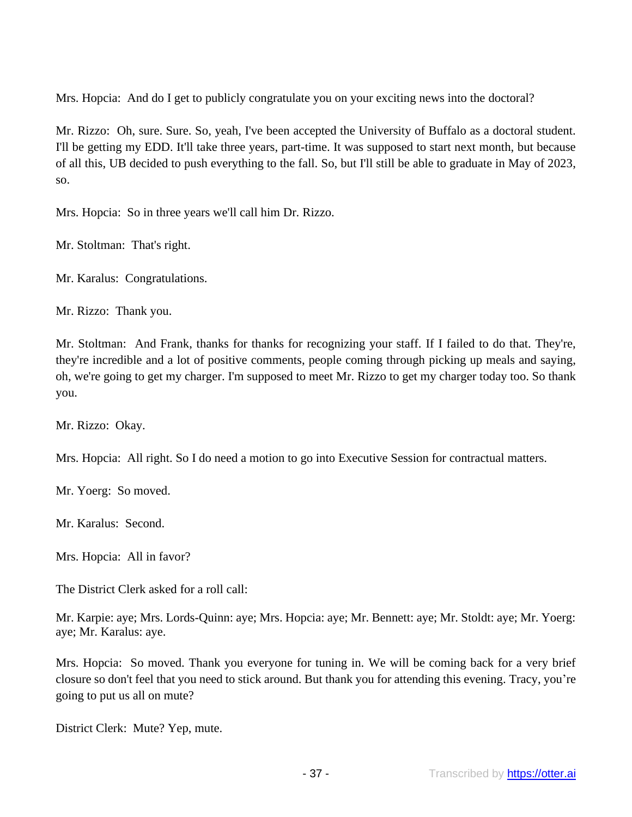Mrs. Hopcia: And do I get to publicly congratulate you on your exciting news into the doctoral?

Mr. Rizzo: Oh, sure. Sure. So, yeah, I've been accepted the University of Buffalo as a doctoral student. I'll be getting my EDD. It'll take three years, part-time. It was supposed to start next month, but because of all this, UB decided to push everything to the fall. So, but I'll still be able to graduate in May of 2023, so.

Mrs. Hopcia: So in three years we'll call him Dr. Rizzo.

Mr. Stoltman: That's right.

Mr. Karalus: Congratulations.

Mr. Rizzo: Thank you.

Mr. Stoltman: And Frank, thanks for thanks for recognizing your staff. If I failed to do that. They're, they're incredible and a lot of positive comments, people coming through picking up meals and saying, oh, we're going to get my charger. I'm supposed to meet Mr. Rizzo to get my charger today too. So thank you.

Mr. Rizzo: Okay.

Mrs. Hopcia: All right. So I do need a motion to go into Executive Session for contractual matters.

Mr. Yoerg: So moved.

Mr. Karalus: Second.

Mrs. Hopcia: All in favor?

The District Clerk asked for a roll call:

Mr. Karpie: aye; Mrs. Lords-Quinn: aye; Mrs. Hopcia: aye; Mr. Bennett: aye; Mr. Stoldt: aye; Mr. Yoerg: aye; Mr. Karalus: aye.

Mrs. Hopcia: So moved. Thank you everyone for tuning in. We will be coming back for a very brief closure so don't feel that you need to stick around. But thank you for attending this evening. Tracy, you're going to put us all on mute?

District Clerk: Mute? Yep, mute.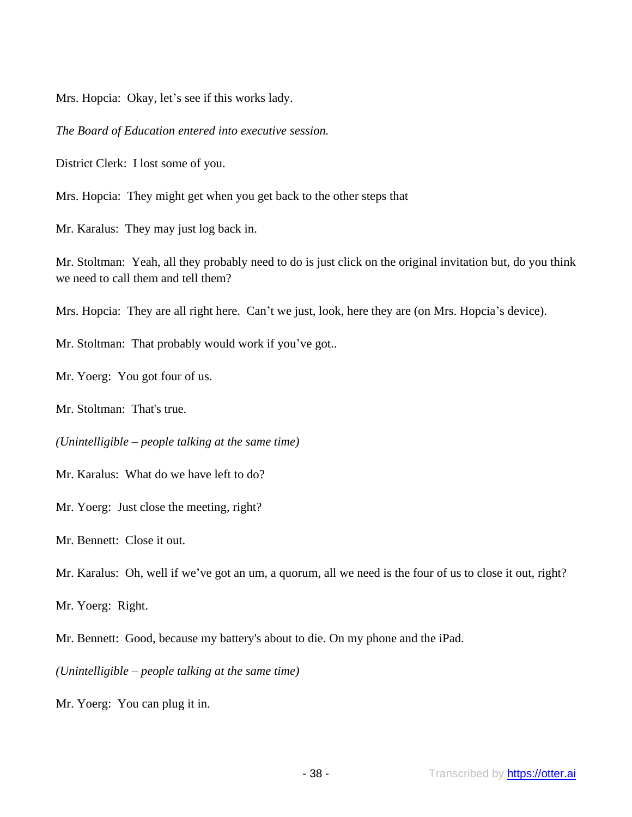Mrs. Hopcia: Okay, let's see if this works lady.

*The Board of Education entered into executive session.*

District Clerk: I lost some of you.

Mrs. Hopcia: They might get when you get back to the other steps that

Mr. Karalus: They may just log back in.

Mr. Stoltman: Yeah, all they probably need to do is just click on the original invitation but, do you think we need to call them and tell them?

Mrs. Hopcia: They are all right here. Can't we just, look, here they are (on Mrs. Hopcia's device).

Mr. Stoltman: That probably would work if you've got..

Mr. Yoerg: You got four of us.

Mr. Stoltman: That's true.

*(Unintelligible – people talking at the same time)*

Mr. Karalus: What do we have left to do?

Mr. Yoerg: Just close the meeting, right?

Mr. Bennett: Close it out.

Mr. Karalus: Oh, well if we've got an um, a quorum, all we need is the four of us to close it out, right?

Mr. Yoerg: Right.

Mr. Bennett: Good, because my battery's about to die. On my phone and the iPad.

*(Unintelligible – people talking at the same time)*

Mr. Yoerg: You can plug it in.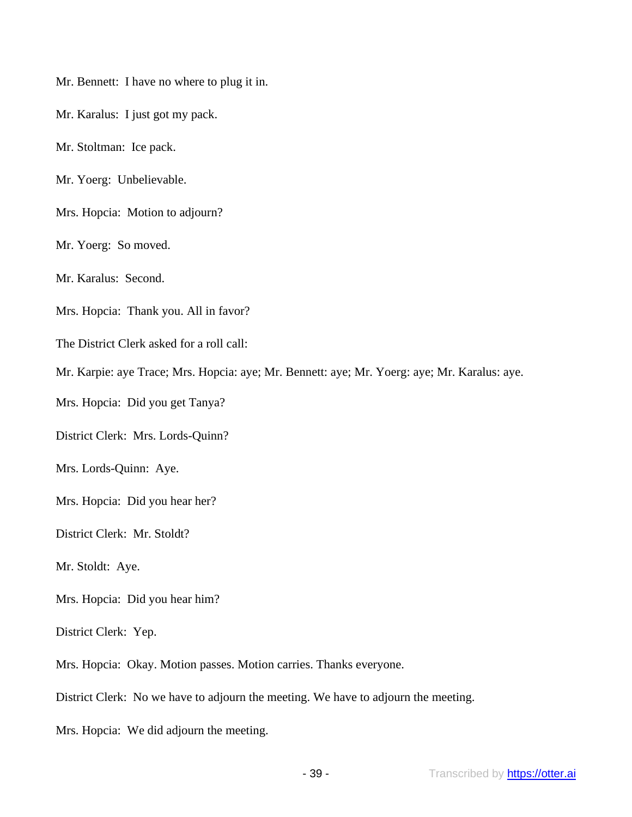Mr. Bennett: I have no where to plug it in.

Mr. Karalus: I just got my pack.

Mr. Stoltman: Ice pack.

Mr. Yoerg: Unbelievable.

Mrs. Hopcia: Motion to adjourn?

Mr. Yoerg: So moved.

Mr. Karalus: Second.

Mrs. Hopcia: Thank you. All in favor?

The District Clerk asked for a roll call:

Mr. Karpie: aye Trace; Mrs. Hopcia: aye; Mr. Bennett: aye; Mr. Yoerg: aye; Mr. Karalus: aye.

Mrs. Hopcia: Did you get Tanya?

District Clerk: Mrs. Lords-Quinn?

Mrs. Lords-Quinn: Aye.

Mrs. Hopcia: Did you hear her?

District Clerk: Mr. Stoldt?

Mr. Stoldt: Aye.

Mrs. Hopcia: Did you hear him?

District Clerk: Yep.

Mrs. Hopcia: Okay. Motion passes. Motion carries. Thanks everyone.

District Clerk: No we have to adjourn the meeting. We have to adjourn the meeting.

Mrs. Hopcia: We did adjourn the meeting.